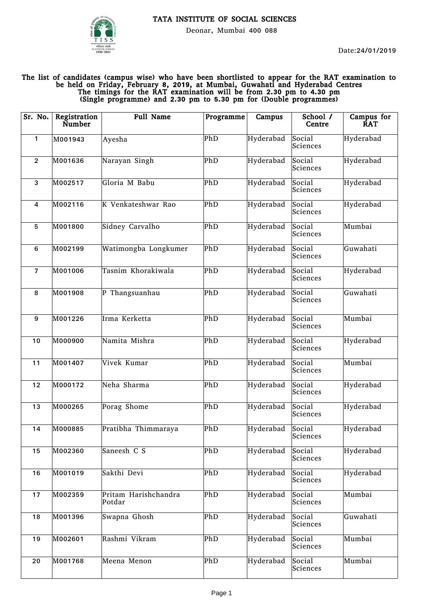

Deonar, Mumbai 400 088

## The list of candidates (campus wise) who have been shortlisted to appear for the RAT examination to be held on Friday, February 8, 2019, at Mumbai, Guwahati and Hyderabad Centres The timings for the RAT examination will be from 2.30 pm to 4.30 pm (Single programme) and 2.30 pm to 5.30 pm for (Double programmes)

| Sr. No.          | Registration<br>Number | <b>Full Name</b>               | Programme | Campus    | School /<br>Centre | Campus for<br><b>RAT</b> |
|------------------|------------------------|--------------------------------|-----------|-----------|--------------------|--------------------------|
| 1                | M001943                | Ayesha                         | PhD       | Hyderabad | Social<br>Sciences | Hyderabad                |
| $\overline{2}$   | M001636                | Narayan Singh                  | PhD       | Hyderabad | Social<br>Sciences | Hyderabad                |
| 3                | M002517                | Gloria M Babu                  | PhD       | Hyderabad | Social<br>Sciences | Hyderabad                |
| 4                | M002116                | K Venkateshwar Rao             | PhD       | Hyderabad | Social<br>Sciences | Hyderabad                |
| 5                | M001800                | Sidney Carvalho                | PhD       | Hyderabad | Social<br>Sciences | Mumbai                   |
| $\boldsymbol{6}$ | M002199                | Watimongba Longkumer           | PhD       | Hyderabad | Social<br>Sciences | Guwahati                 |
| $\overline{7}$   | M001006                | Tasnim Khorakiwala             | PhD       | Hyderabad | Social<br>Sciences | Hyderabad                |
| 8                | M001908                | P Thangsuanhau                 | PhD       | Hyderabad | Social<br>Sciences | Guwahati                 |
| $\boldsymbol{9}$ | M001226                | Irma Kerketta                  | PhD       | Hyderabad | Social<br>Sciences | Mumbai                   |
| 10               | M000900                | Namita Mishra                  | PhD       | Hyderabad | Social<br>Sciences | Hyderabad                |
| 11               | M001407                | Vivek Kumar                    | PhD       | Hyderabad | Social<br>Sciences | Mumbai                   |
| 12               | M000172                | Neha Sharma                    | PhD       | Hyderabad | Social<br>Sciences | Hyderabad                |
| 13               | M000265                | Porag Shome                    | PhD       | Hyderabad | Social<br>Sciences | Hyderabad                |
| 14               | M000885                | Pratibha Thimmaraya            | PhD       | Hyderabad | Social<br>Sciences | Hyderabad                |
| 15               | M002360                | Saneesh C S                    | PhD       | Hyderabad | Social<br>Sciences | Hyderabad                |
| 16               | M001019                | Sakthi Devi                    | PhD       | Hyderabad | Social<br>Sciences | Hyderabad                |
| 17               | M002359                | Pritam Harishchandra<br>Potdar | PhD       | Hyderabad | Social<br>Sciences | Mumbai                   |
| 18               | M001396                | Swapna Ghosh                   | PhD       | Hyderabad | Social<br>Sciences | Guwahati                 |
| 19               | M002601                | Rashmi Vikram                  | PhD       | Hyderabad | Social<br>Sciences | Mumbai                   |
| 20               | M001768                | Meena Menon                    | PhD       | Hyderabad | Social<br>Sciences | Mumbai                   |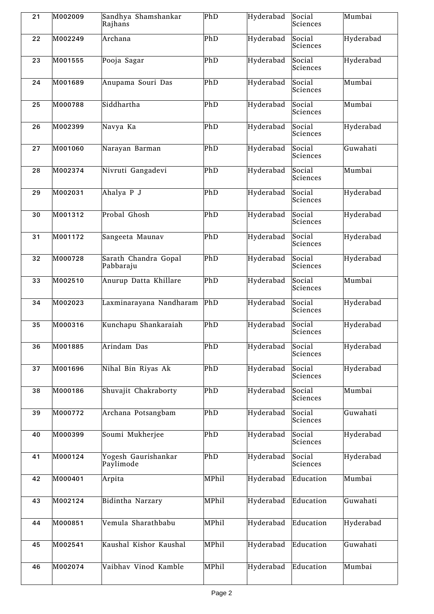| 21 | M002009 | Sandhya Shamshankar<br>Rajhans    | PhD   | Hyderabad | Social<br>Sciences | Mumbai    |
|----|---------|-----------------------------------|-------|-----------|--------------------|-----------|
| 22 | M002249 | Archana                           | PhD   | Hyderabad | Social<br>Sciences | Hyderabad |
| 23 | M001555 | Pooja Sagar                       | PhD   | Hyderabad | Social<br>Sciences | Hyderabad |
| 24 | M001689 | Anupama Souri Das                 | PhD   | Hyderabad | Social<br>Sciences | Mumbai    |
| 25 | M000788 | Siddhartha                        | PhD   | Hyderabad | Social<br>Sciences | Mumbai    |
| 26 | M002399 | Navya Ka                          | PhD   | Hyderabad | Social<br>Sciences | Hyderabad |
| 27 | M001060 | Narayan Barman                    | PhD   | Hyderabad | Social<br>Sciences | Guwahati  |
| 28 | M002374 | Nivruti Gangadevi                 | PhD   | Hyderabad | Social<br>Sciences | Mumbai    |
| 29 | M002031 | Ahalya P J                        | PhD   | Hyderabad | Social<br>Sciences | Hyderabad |
| 30 | M001312 | Probal Ghosh                      | PhD   | Hyderabad | Social<br>Sciences | Hyderabad |
| 31 | M001172 | Sangeeta Maunav                   | PhD   | Hyderabad | Social<br>Sciences | Hyderabad |
| 32 | M000728 | Sarath Chandra Gopal<br>Pabbaraju | PhD   | Hyderabad | Social<br>Sciences | Hyderabad |
| 33 | M002510 | Anurup Datta Khillare             | PhD   | Hyderabad | Social<br>Sciences | Mumbai    |
| 34 | M002023 | Laxminarayana Nandharam           | PhD   | Hyderabad | Social<br>Sciences | Hyderabad |
| 35 | M000316 | Kunchapu Shankaraiah              | PhD   | Hyderabad | Social<br>Sciences | Hyderabad |
| 36 | M001885 | Arindam Das                       | PhD   | Hyderabad | Social<br>Sciences | Hyderabad |
| 37 | M001696 | Nihal Bin Riyas Ak                | PhD   | Hyderabad | Social<br>Sciences | Hyderabad |
| 38 | M000186 | Shuvajit Chakraborty              | PhD   | Hyderabad | Social<br>Sciences | Mumbai    |
| 39 | M000772 | Archana Potsangbam                | PhD   | Hyderabad | Social<br>Sciences | Guwahati  |
| 40 | M000399 | Soumi Mukherjee                   | PhD   | Hyderabad | Social<br>Sciences | Hyderabad |
| 41 | M000124 | Yogesh Gaurishankar<br>Paylimode  | PhD   | Hyderabad | Social<br>Sciences | Hyderabad |
| 42 | M000401 | Arpita                            | MPhil | Hyderabad | Education          | Mumbai    |
| 43 | M002124 | Bidintha Narzary                  | MPhil | Hyderabad | Education          | Guwahati  |
| 44 | M000851 | Vemula Sharathbabu                | MPhil | Hyderabad | Education          | Hyderabad |
| 45 | M002541 | Kaushal Kishor Kaushal            | MPhil | Hyderabad | Education          | Guwahati  |
| 46 | M002074 | Vaibhav Vinod Kamble              | MPhil | Hyderabad | Education          | Mumbai    |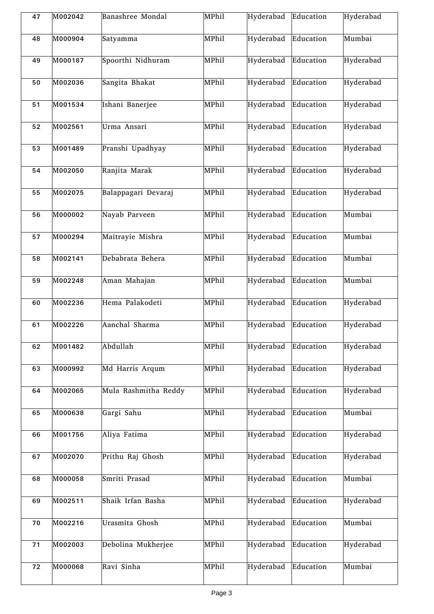| 47 | M002042 | Banashree Mondal     | MPhil | Hyderabad | Education | Hyderabad |
|----|---------|----------------------|-------|-----------|-----------|-----------|
| 48 | M000904 | Satyamma             | MPhil | Hyderabad | Education | Mumbai    |
| 49 | M000187 | Spoorthi Nidhuram    | MPhil | Hyderabad | Education | Hyderabad |
| 50 | M002036 | Sangita Bhakat       | MPhil | Hyderabad | Education | Hyderabad |
| 51 | M001534 | Ishani Banerjee      | MPhil | Hyderabad | Education | Hyderabad |
| 52 | M002561 | Urma Ansari          | MPhil | Hyderabad | Education | Hyderabad |
| 53 | M001489 | Pranshi Upadhyay     | MPhil | Hyderabad | Education | Hyderabad |
| 54 | M002050 | Ranjita Marak        | MPhil | Hyderabad | Education | Hyderabad |
| 55 | M002075 | Balappagari Devaraj  | MPhil | Hyderabad | Education | Hyderabad |
| 56 | M000002 | Nayab Parveen        | MPhil | Hyderabad | Education | Mumbai    |
| 57 | M000294 | Maitrayie Mishra     | MPhil | Hyderabad | Education | Mumbai    |
| 58 | M002141 | Debabrata Behera     | MPhil | Hyderabad | Education | Mumbai    |
| 59 | M002248 | Aman Mahajan         | MPhil | Hyderabad | Education | Mumbai    |
| 60 | M002236 | Hema Palakodeti      | MPhil | Hyderabad | Education | Hyderabad |
| 61 | M002226 | Aanchal Sharma       | MPhil | Hyderabad | Education | Hyderabad |
| 62 | M001482 | Abdullah             | MPhil | Hyderabad | Education | Hyderabad |
| 63 | M000992 | Md Harris Arqum      | MPhil | Hyderabad | Education | Hyderabad |
| 64 | M002065 | Mula Rashmitha Reddy | MPhil | Hyderabad | Education | Hyderabad |
| 65 | M000638 | Gargi Sahu           | MPhil | Hyderabad | Education | Mumbai    |
| 66 | M001756 | Aliya Fatima         | MPhil | Hyderabad | Education | Hyderabad |
| 67 | M002070 | Prithu Raj Ghosh     | MPhil | Hyderabad | Education | Hyderabad |
| 68 | M000058 | Smriti Prasad        | MPhil | Hyderabad | Education | Mumbai    |
| 69 | M002511 | Shaik Irfan Basha    | MPhil | Hyderabad | Education | Hyderabad |
| 70 | M002216 | Urasmita Ghosh       | MPhil | Hyderabad | Education | Mumbai    |
| 71 | M002003 | Debolina Mukherjee   | MPhil | Hyderabad | Education | Hyderabad |
| 72 | M000068 | Ravi Sinha           | MPhil | Hyderabad | Education | Mumbai    |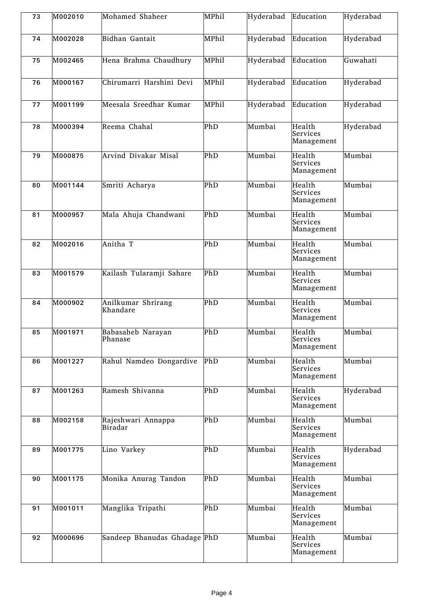| 73 | M002010 | Mohamed Shaheer                | MPhil | Hyderabad | Education                        | Hyderabad |
|----|---------|--------------------------------|-------|-----------|----------------------------------|-----------|
| 74 | M002028 | Bidhan Gantait                 | MPhil | Hyderabad | Education                        | Hyderabad |
| 75 | M002465 | Hena Brahma Chaudhury          | MPhil | Hyderabad | Education                        | Guwahati  |
| 76 | M000167 | Chirumarri Harshini Devi       | MPhil | Hyderabad | Education                        | Hyderabad |
| 77 | M001199 | Meesala Sreedhar Kumar         | MPhil | Hyderabad | Education                        | Hyderabad |
| 78 | M000394 | Reema Chahal                   | PhD   | Mumbai    | Health<br>Services<br>Management | Hyderabad |
| 79 | M000875 | Arvind Divakar Misal           | PhD   | Mumbai    | Health<br>Services<br>Management | Mumbai    |
| 80 | M001144 | Smriti Acharya                 | PhD   | Mumbai    | Health<br>Services<br>Management | Mumbai    |
| 81 | M000957 | Mala Ahuja Chandwani           | PhD   | Mumbai    | Health<br>Services<br>Management | Mumbai    |
| 82 | M002016 | Anitha T                       | PhD   | Mumbai    | Health<br>Services<br>Management | Mumbai    |
| 83 | M001579 | Kailash Tularamji Sahare       | PhD   | Mumbai    | Health<br>Services<br>Management | Mumbai    |
| 84 | M000902 | Anilkumar Shrirang<br>Khandare | PhD   | Mumbai    | Health<br>Services<br>Management | Mumbai    |
| 85 | M001971 | Babasaheb Narayan<br>Phanase   | PhD   | Mumbai    | Health<br>Services<br>Management | Mumbai    |
| 86 | M001227 | Rahul Namdeo Dongardive        | PhD   | Mumbai    | Health<br>Services<br>Management | Mumbai    |
| 87 | M001263 | Ramesh Shivanna                | PhD   | Mumbai    | Health<br>Services<br>Management | Hyderabad |
| 88 | M002158 | Rajeshwari Annappa<br>Biradar  | PhD   | Mumbai    | Health<br>Services<br>Management | Mumbai    |
| 89 | M001775 | Lino Varkey                    | PhD   | Mumbai    | Health<br>Services<br>Management | Hyderabad |
| 90 | M001175 | Monika Anurag Tandon           | PhD   | Mumbai    | Health<br>Services<br>Management | Mumbai    |
| 91 | M001011 | Manglika Tripathi              | PhD   | Mumbai    | Health<br>Services<br>Management | Mumbai    |
| 92 | M000696 | Sandeep Bhanudas Ghadage PhD   |       | Mumbai    | Health<br>Services<br>Management | Mumbai    |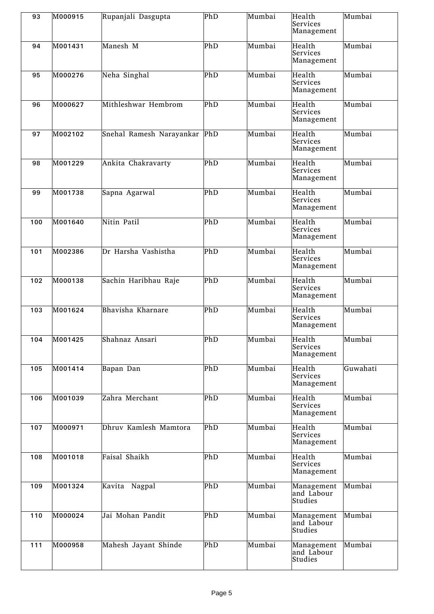| 93  | M000915 | Rupanjali Dasgupta       | PhD | Mumbai | Health<br>Services<br>Management    | Mumbai   |
|-----|---------|--------------------------|-----|--------|-------------------------------------|----------|
| 94  | M001431 | Manesh M                 | PhD | Mumbai | Health<br>Services<br>Management    | Mumbai   |
| 95  | M000276 | Neha Singhal             | PhD | Mumbai | Health<br>Services<br>Management    | Mumbai   |
| 96  | M000627 | Mithleshwar Hembrom      | PhD | Mumbai | Health<br>Services<br>Management    | Mumbai   |
| 97  | M002102 | Snehal Ramesh Narayankar | PhD | Mumbai | Health<br>Services<br>Management    | Mumbai   |
| 98  | M001229 | Ankita Chakravarty       | PhD | Mumbai | Health<br>Services<br>Management    | Mumbai   |
| 99  | M001738 | Sapna Agarwal            | PhD | Mumbai | Health<br>Services<br>Management    | Mumbai   |
| 100 | M001640 | Nitin Patil              | PhD | Mumbai | Health<br>Services<br>Management    | Mumbai   |
| 101 | M002386 | Dr Harsha Vashistha      | PhD | Mumbai | Health<br>Services<br>Management    | Mumbai   |
| 102 | M000138 | Sachin Haribhau Raje     | PhD | Mumbai | Health<br>Services<br>Management    | Mumbai   |
| 103 | M001624 | Bhavisha Kharnare        | PhD | Mumbai | Health<br>Services<br>Management    | Mumbai   |
| 104 | M001425 | Shahnaz Ansari           | PhD | Mumbai | Health<br>Services<br>Management    | Mumbai   |
| 105 | M001414 | Bapan Dan                | PhD | Mumbai | Health<br>Services<br>Management    | Guwahati |
| 106 | M001039 | Zahra Merchant           | PhD | Mumbai | Health<br>Services<br>Management    | Mumbai   |
| 107 | M000971 | Dhruv Kamlesh Mamtora    | PhD | Mumbai | Health<br>Services<br>Management    | Mumbai   |
| 108 | M001018 | Faisal Shaikh            | PhD | Mumbai | Health<br>Services<br>Management    | Mumbai   |
| 109 | M001324 | Kavita Nagpal            | PhD | Mumbai | Management<br>and Labour<br>Studies | Mumbai   |
| 110 | M000024 | Jai Mohan Pandit         | PhD | Mumbai | Management<br>and Labour<br>Studies | Mumbai   |
| 111 | M000958 | Mahesh Jayant Shinde     | PhD | Mumbai | Management<br>and Labour<br>Studies | Mumbai   |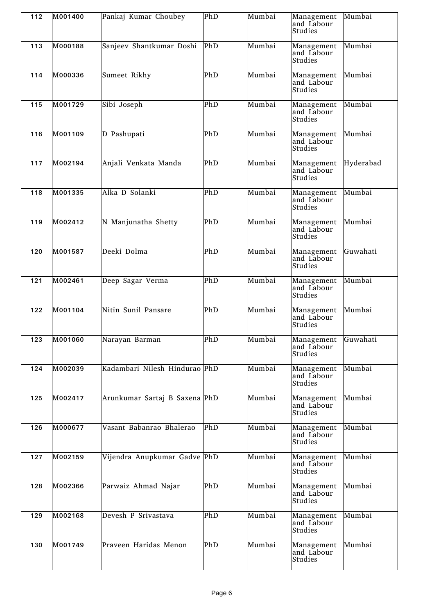| 112 | M001400 | Pankaj Kumar Choubey          | PhD | Mumbai | Management<br>and Labour<br>Studies | Mumbai    |
|-----|---------|-------------------------------|-----|--------|-------------------------------------|-----------|
| 113 | M000188 | Sanjeev Shantkumar Doshi      | PhD | Mumbai | Management<br>and Labour<br>Studies | Mumbai    |
| 114 | M000336 | Sumeet Rikhy                  | PhD | Mumbai | Management<br>and Labour<br>Studies | Mumbai    |
| 115 | M001729 | Sibi Joseph                   | PhD | Mumbai | Management<br>and Labour<br>Studies | Mumbai    |
| 116 | M001109 | D Pashupati                   | PhD | Mumbai | Management<br>and Labour<br>Studies | Mumbai    |
| 117 | M002194 | Anjali Venkata Manda          | PhD | Mumbai | Management<br>and Labour<br>Studies | Hyderabad |
| 118 | M001335 | Alka D Solanki                | PhD | Mumbai | Management<br>and Labour<br>Studies | Mumbai    |
| 119 | M002412 | N Manjunatha Shetty           | PhD | Mumbai | Management<br>and Labour<br>Studies | Mumbai    |
| 120 | M001587 | Deeki Dolma                   | PhD | Mumbai | Management<br>and Labour<br>Studies | Guwahati  |
| 121 | M002461 | Deep Sagar Verma              | PhD | Mumbai | Management<br>and Labour<br>Studies | Mumbai    |
| 122 | M001104 | Nitin Sunil Pansare           | PhD | Mumbai | Management<br>and Labour<br>Studies | Mumbai    |
| 123 | M001060 | Narayan Barman                | PhD | Mumbai | Management<br>and Labour<br>Studies | Guwahati  |
| 124 | M002039 | Kadambari Nilesh Hindurao PhD |     | Mumbai | Management<br>and Labour<br>Studies | Mumbai    |
| 125 | M002417 | Arunkumar Sartaj B Saxena PhD |     | Mumbai | Management<br>and Labour<br>Studies | Mumbai    |
| 126 | M000677 | Vasant Babanrao Bhalerao      | PhD | Mumbai | Management<br>and Labour<br>Studies | Mumbai    |
| 127 | M002159 | Vijendra Anupkumar Gadve PhD  |     | Mumbai | Management<br>and Labour<br>Studies | Mumbai    |
| 128 | M002366 | Parwaiz Ahmad Najar           | PhD | Mumbai | Management<br>and Labour<br>Studies | Mumbai    |
| 129 | M002168 | Devesh P Srivastava           | PhD | Mumbai | Management<br>and Labour<br>Studies | Mumbai    |
| 130 | M001749 | Praveen Haridas Menon         | PhD | Mumbai | Management<br>and Labour<br>Studies | Mumbai    |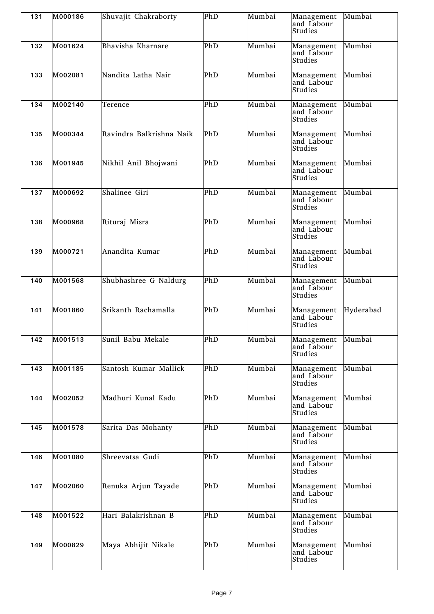| 131 | M000186 | Shuvajit Chakraborty     | PhD | Mumbai | Management<br>and Labour<br>Studies | Mumbai    |
|-----|---------|--------------------------|-----|--------|-------------------------------------|-----------|
| 132 | M001624 | Bhavisha Kharnare        | PhD | Mumbai | Management<br>and Labour<br>Studies | Mumbai    |
| 133 | M002081 | Nandita Latha Nair       | PhD | Mumbai | Management<br>and Labour<br>Studies | Mumbai    |
| 134 | M002140 | Terence                  | PhD | Mumbai | Management<br>and Labour<br>Studies | Mumbai    |
| 135 | M000344 | Ravindra Balkrishna Naik | PhD | Mumbai | Management<br>and Labour<br>Studies | Mumbai    |
| 136 | M001945 | Nikhil Anil Bhojwani     | PhD | Mumbai | Management<br>and Labour<br>Studies | Mumbai    |
| 137 | M000692 | Shalinee Giri            | PhD | Mumbai | Management<br>and Labour<br>Studies | Mumbai    |
| 138 | M000968 | Rituraj Misra            | PhD | Mumbai | Management<br>and Labour<br>Studies | Mumbai    |
| 139 | M000721 | Anandita Kumar           | PhD | Mumbai | Management<br>and Labour<br>Studies | Mumbai    |
| 140 | M001568 | Shubhashree G Naldurg    | PhD | Mumbai | Management<br>and Labour<br>Studies | Mumbai    |
| 141 | M001860 | Srikanth Rachamalla      | PhD | Mumbai | Management<br>and Labour<br>Studies | Hyderabad |
| 142 | M001513 | Sunil Babu Mekale        | PhD | Mumbai | Management<br>and Labour<br>Studies | Mumbai    |
| 143 | M001185 | Santosh Kumar Mallick    | PhD | Mumbai | Management<br>and Labour<br>Studies | Mumbai    |
| 144 | M002052 | Madhuri Kunal Kadu       | PhD | Mumbai | Management<br>and Labour<br>Studies | Mumbai    |
| 145 | M001578 | Sarita Das Mohanty       | PhD | Mumbai | Management<br>and Labour<br>Studies | Mumbai    |
| 146 | M001080 | Shreevatsa Gudi          | PhD | Mumbai | Management<br>and Labour<br>Studies | Mumbai    |
| 147 | M002060 | Renuka Arjun Tayade      | PhD | Mumbai | Management<br>and Labour<br>Studies | Mumbai    |
| 148 | M001522 | Hari Balakrishnan B      | PhD | Mumbai | Management<br>and Labour<br>Studies | Mumbai    |
| 149 | M000829 | Maya Abhijit Nikale      | PhD | Mumbai | Management<br>and Labour<br>Studies | Mumbai    |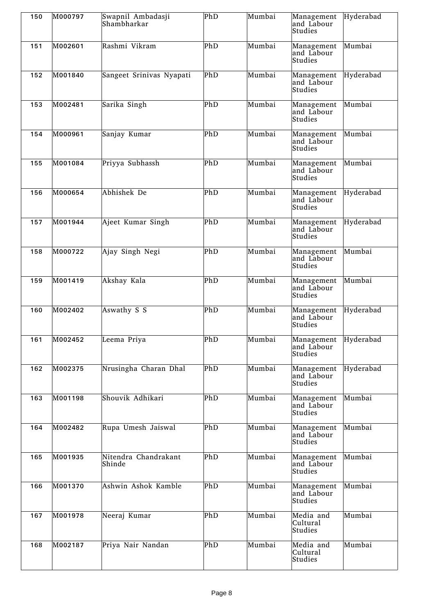| 150 | M000797 | Swapnil Ambadasji<br>Shambharkar | PhD | Mumbai | Management<br>and Labour<br>Studies           | Hyderabad |
|-----|---------|----------------------------------|-----|--------|-----------------------------------------------|-----------|
| 151 | M002601 | Rashmi Vikram                    | PhD | Mumbai | Management<br>and Labour<br>Studies           | Mumbai    |
| 152 | M001840 | Sangeet Srinivas Nyapati         | PhD | Mumbai | Management<br>and Labour<br>Studies           | Hyderabad |
| 153 | M002481 | Sarika Singh                     | PhD | Mumbai | Management<br>and Labour<br>Studies           | Mumbai    |
| 154 | M000961 | Sanjay Kumar                     | PhD | Mumbai | Management<br>and Labour<br>Studies           | Mumbai    |
| 155 | M001084 | Priyya Subhassh                  | PhD | Mumbai | Management<br>and Labour<br>Studies           | Mumbai    |
| 156 | M000654 | Abhishek De                      | PhD | Mumbai | Management<br>and Labour<br>Studies           | Hyderabad |
| 157 | M001944 | Ajeet Kumar Singh                | PhD | Mumbai | Management<br>and Labour<br>Studies           | Hyderabad |
| 158 | M000722 | Ajay Singh Negi                  | PhD | Mumbai | Management<br>and Labour<br>Studies           | Mumbai    |
| 159 | M001419 | Akshay Kala                      | PhD | Mumbai | Management<br>and Labour<br>Studies           | Mumbai    |
| 160 | M002402 | Aswathy S S                      | PhD | Mumbai | Management<br>and Labour<br>Studies           | Hyderabad |
| 161 | M002452 | Leema Priya                      | PhD | Mumbai | Management Hyderabad<br>and Labour<br>Studies |           |
| 162 | M002375 | Nrusingha Charan Dhal            | PhD | Mumbai | Management<br>and Labour<br>Studies           | Hyderabad |
| 163 | M001198 | Shouvik Adhikari                 | PhD | Mumbai | Management<br>and Labour<br>Studies           | Mumbai    |
| 164 | M002482 | Rupa Umesh Jaiswal               | PhD | Mumbai | Management<br>and Labour<br>Studies           | Mumbai    |
| 165 | M001935 | Nitendra Chandrakant<br>Shinde   | PhD | Mumbai | Management<br>and Labour<br>Studies           | Mumbai    |
| 166 | M001370 | Ashwin Ashok Kamble              | PhD | Mumbai | Management<br>and Labour<br>Studies           | Mumbai    |
| 167 | M001978 | Neeraj Kumar                     | PhD | Mumbai | Media and<br>Cultural<br>Studies              | Mumbai    |
| 168 | M002187 | Priya Nair Nandan                | PhD | Mumbai | Media and<br>Cultural<br>Studies              | Mumbai    |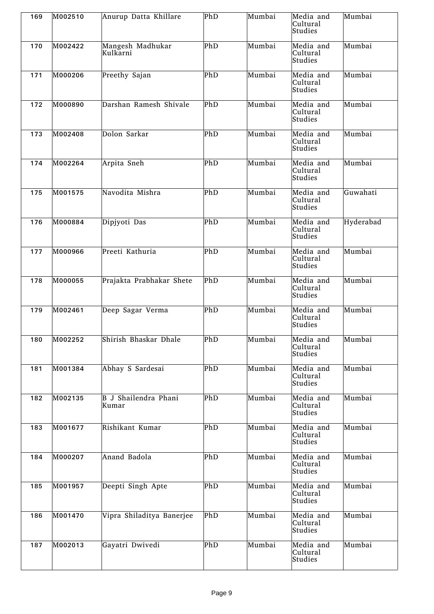| 169 | M002510 | Anurup Datta Khillare         | PhD | Mumbai | Media and<br>Cultural<br>Studies | Mumbai    |
|-----|---------|-------------------------------|-----|--------|----------------------------------|-----------|
| 170 | M002422 | Mangesh Madhukar<br>Kulkarni  | PhD | Mumbai | Media and<br>Cultural<br>Studies | Mumbai    |
| 171 | M000206 | Preethy Sajan                 | PhD | Mumbai | Media and<br>Cultural<br>Studies | Mumbai    |
| 172 | M000890 | Darshan Ramesh Shivale        | PhD | Mumbai | Media and<br>Cultural<br>Studies | Mumbai    |
| 173 | M002408 | Dolon Sarkar                  | PhD | Mumbai | Media and<br>Cultural<br>Studies | Mumbai    |
| 174 | M002264 | Arpita Sneh                   | PhD | Mumbai | Media and<br>Cultural<br>Studies | Mumbai    |
| 175 | M001575 | Navodita Mishra               | PhD | Mumbai | Media and<br>Cultural<br>Studies | Guwahati  |
| 176 | M000884 | Dipjyoti Das                  | PhD | Mumbai | Media and<br>Cultural<br>Studies | Hyderabad |
| 177 | M000966 | Preeti Kathuria               | PhD | Mumbai | Media and<br>Cultural<br>Studies | Mumbai    |
| 178 | M000055 | Prajakta Prabhakar Shete      | PhD | Mumbai | Media and<br>Cultural<br>Studies | Mumbai    |
| 179 | M002461 | Deep Sagar Verma              | PhD | Mumbai | Media and<br>Cultural<br>Studies | Mumbai    |
| 180 | M002252 | Shirish Bhaskar Dhale         | PhD | Mumbai | Media and<br>Cultural<br>Studies | Mumbai    |
| 181 | M001384 | Abhay S Sardesai              | PhD | Mumbai | Media and<br>Cultural<br>Studies | Mumbai    |
| 182 | M002135 | B J Shailendra Phani<br>Kumar | PhD | Mumbai | Media and<br>Cultural<br>Studies | Mumbai    |
| 183 | M001677 | Rishikant Kumar               | PhD | Mumbai | Media and<br>Cultural<br>Studies | Mumbai    |
| 184 | M000207 | Anand Badola                  | PhD | Mumbai | Media and<br>Cultural<br>Studies | Mumbai    |
| 185 | M001957 | Deepti Singh Apte             | PhD | Mumbai | Media and<br>Cultural<br>Studies | Mumbai    |
| 186 | M001470 | Vipra Shiladitya Banerjee     | PhD | Mumbai | Media and<br>Cultural<br>Studies | Mumbai    |
| 187 | M002013 | Gayatri Dwivedi               | PhD | Mumbai | Media and<br>Cultural<br>Studies | Mumbai    |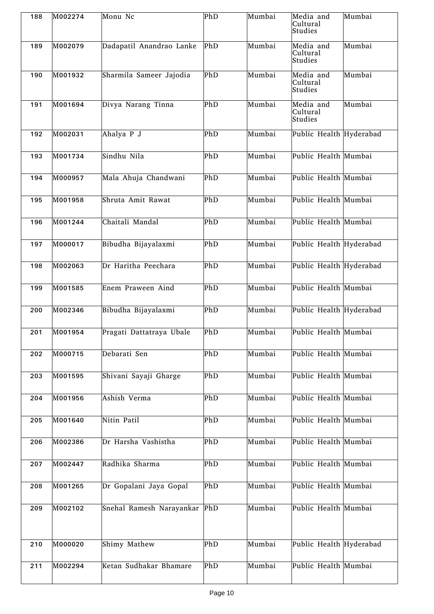| 188 | M002274 | Monu Nc                  | PhD | Mumbai | Media and<br>Cultural<br><b>Studies</b> | Mumbai |
|-----|---------|--------------------------|-----|--------|-----------------------------------------|--------|
| 189 | M002079 | Dadapatil Anandrao Lanke | PhD | Mumbai | Media and<br>Cultural<br>Studies        | Mumbai |
| 190 | M001932 | Sharmila Sameer Jajodia  | PhD | Mumbai | Media and<br>Cultural<br>Studies        | Mumbai |
| 191 | M001694 | Divya Narang Tinna       | PhD | Mumbai | Media and<br>Cultural<br>Studies        | Mumbai |
| 192 | M002031 | Ahalya P J               | PhD | Mumbai | Public Health Hyderabad                 |        |
| 193 | M001734 | Sindhu Nila              | PhD | Mumbai | Public Health Mumbai                    |        |
| 194 | M000957 | Mala Ahuja Chandwani     | PhD | Mumbai | Public Health Mumbai                    |        |
| 195 | M001958 | Shruta Amit Rawat        | PhD | Mumbai | Public Health Mumbai                    |        |
| 196 | M001244 | Chaitali Mandal          | PhD | Mumbai | Public Health Mumbai                    |        |
| 197 | M000017 | Bibudha Bijayalaxmi      | PhD | Mumbai | Public Health Hyderabad                 |        |
| 198 | M002063 | Dr Haritha Peechara      | PhD | Mumbai | Public Health Hyderabad                 |        |
| 199 | M001585 | Enem Praween Aind        | PhD | Mumbai | Public Health Mumbai                    |        |
| 200 | M002346 | Bibudha Bijayalaxmi      | PhD | Mumbai | Public Health Hyderabad                 |        |
| 201 | M001954 | Pragati Dattatraya Ubale | PhD | Mumbai | Public Health Mumbai                    |        |
| 202 | M000715 | Debarati Sen             | PhD | Mumbai | Public Health Mumbai                    |        |
| 203 | M001595 | Shivani Sayaji Gharge    | PhD | Mumbai | Public Health Mumbai                    |        |
| 204 | M001956 | Ashish Verma             | PhD | Mumbai | Public Health Mumbai                    |        |
| 205 | M001640 | Nitin Patil              | PhD | Mumbai | Public Health Mumbai                    |        |
| 206 | M002386 | Dr Harsha Vashistha      | PhD | Mumbai | Public Health Mumbai                    |        |
| 207 | M002447 | Radhika Sharma           | PhD | Mumbai | Public Health Mumbai                    |        |
| 208 | M001265 | Dr Gopalani Jaya Gopal   | PhD | Mumbai | Public Health Mumbai                    |        |
| 209 | M002102 | Snehal Ramesh Narayankar | PhD | Mumbai | Public Health Mumbai                    |        |
| 210 | M000020 | Shimy Mathew             | PhD | Mumbai | Public Health Hyderabad                 |        |
| 211 | M002294 | Ketan Sudhakar Bhamare   | PhD | Mumbai | Public Health Mumbai                    |        |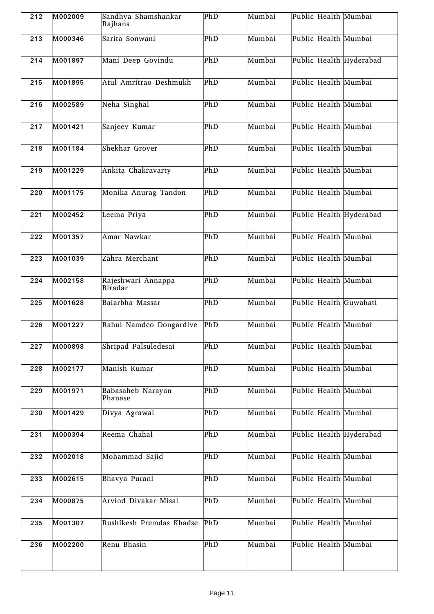| 212 | M002009 | Sandhya Shamshankar<br>Rajhans | PhD | Mumbai | Public Health Mumbai    |
|-----|---------|--------------------------------|-----|--------|-------------------------|
| 213 | M000346 | Sarita Sonwani                 | PhD | Mumbai | Public Health Mumbai    |
| 214 | M001897 | Mani Deep Govindu              | PhD | Mumbai | Public Health Hyderabad |
| 215 | M001895 | Atul Amritrao Deshmukh         | PhD | Mumbai | Public Health Mumbai    |
| 216 | M002589 | Neha Singhal                   | PhD | Mumbai | Public Health Mumbai    |
| 217 | M001421 | Sanjeev Kumar                  | PhD | Mumbai | Public Health Mumbai    |
| 218 | M001184 | Shekhar Grover                 | PhD | Mumbai | Public Health Mumbai    |
| 219 | M001229 | Ankita Chakravarty             | PhD | Mumbai | Public Health Mumbai    |
| 220 | M001175 | Monika Anurag Tandon           | PhD | Mumbai | Public Health Mumbai    |
| 221 | M002452 | Leema Priya                    | PhD | Mumbai | Public Health Hyderabad |
| 222 | M001357 | Amar Nawkar                    | PhD | Mumbai | Public Health Mumbai    |
| 223 | M001039 | Zahra Merchant                 | PhD | Mumbai | Public Health Mumbai    |
| 224 | M002158 | Rajeshwari Annappa<br>Biradar  | PhD | Mumbai | Public Health Mumbai    |
| 225 | M001628 | Baiarbha Massar                | PhD | Mumbai | Public Health Guwahati  |
| 226 | M001227 | Rahul Namdeo Dongardive        | PhD | Mumbai | Public Health Mumbai    |
| 227 | M000898 | Shripad Palsuledesai           | PhD | Mumbai | Public Health Mumbai    |
| 228 | M002177 | Manish Kumar                   | PhD | Mumbai | Public Health Mumbai    |
| 229 | M001971 | Babasaheb Narayan<br>Phanase   | PhD | Mumbai | Public Health Mumbai    |
| 230 | M001429 | Divya Agrawal                  | PhD | Mumbai | Public Health Mumbai    |
| 231 | M000394 | Reema Chahal                   | PhD | Mumbai | Public Health Hyderabad |
| 232 | M002018 | Mohammad Sajid                 | PhD | Mumbai | Public Health Mumbai    |
| 233 | M002615 | Bhavya Purani                  | PhD | Mumbai | Public Health Mumbai    |
| 234 | M000875 | Arvind Divakar Misal           | PhD | Mumbai | Public Health Mumbai    |
| 235 | M001307 | Rushikesh Premdas Khadse       | PhD | Mumbai | Public Health Mumbai    |
| 236 | M002200 | Renu Bhasin                    | PhD | Mumbai | Public Health Mumbai    |
|     |         |                                |     |        |                         |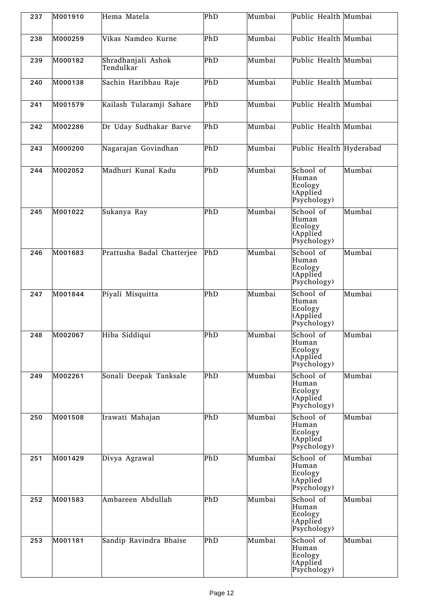| 237 | M001910 | Hema Matela                     | PhD | Mumbai | Public Health Mumbai                                     |        |
|-----|---------|---------------------------------|-----|--------|----------------------------------------------------------|--------|
| 238 | M000259 | Vikas Namdeo Kurne              | PhD | Mumbai | Public Health Mumbai                                     |        |
| 239 | M000182 | Shradhanjali Ashok<br>Tendulkar | PhD | Mumbai | Public Health Mumbai                                     |        |
| 240 | M000138 | Sachin Haribhau Raje            | PhD | Mumbai | Public Health Mumbai                                     |        |
| 241 | M001579 | Kailash Tularamji Sahare        | PhD | Mumbai | Public Health Mumbai                                     |        |
| 242 | M002286 | Dr Uday Sudhakar Barve          | PhD | Mumbai | Public Health Mumbai                                     |        |
| 243 | M000200 | Nagarajan Govindhan             | PhD | Mumbai | Public Health Hyderabad                                  |        |
| 244 | M002052 | Madhuri Kunal Kadu              | PhD | Mumbai | School of<br>Human<br>Ecology<br>(Applied<br>Psychology) | Mumbai |
| 245 | M001022 | Sukanya Ray                     | PhD | Mumbai | School of<br>Human<br>Ecology<br>(Applied<br>Psychology) | Mumbai |
| 246 | M001683 | Prattusha Badal Chatterjee      | PhD | Mumbai | School of<br>Human<br>Ecology<br>(Applied<br>Psychology) | Mumbai |
| 247 | M001844 | Piyali Misquitta                | PhD | Mumbai | School of<br>Human<br>Ecology<br>(Applied<br>Psychology) | Mumbai |
| 248 | M002067 | Hiba Siddiqui                   | PhD | Mumbai | School of<br>Human<br>Ecology<br>(Applied<br>Psychology) | Mumbai |
| 249 | M002261 | Sonali Deepak Tanksale          | PhD | Mumbai | School of<br>Human<br>Ecology<br>(Applied<br>Psychology) | Mumbai |
| 250 | M001508 | Irawati Mahajan                 | PhD | Mumbai | School of<br>Human<br>Ecology<br>(Applied<br>Psychology) | Mumbai |
| 251 | M001429 | Divya Agrawal                   | PhD | Mumbai | School of<br>Human<br>Ecology<br>(Applied<br>Psychology) | Mumbai |
| 252 | M001583 | Ambareen Abdullah               | PhD | Mumbai | School of<br>Human<br>Ecology<br>(Applied<br>Psychology) | Mumbai |
| 253 | M001181 | Sandip Ravindra Bhaise          | PhD | Mumbai | School of<br>Human<br>Ecology<br>(Applied<br>Psychology) | Mumbai |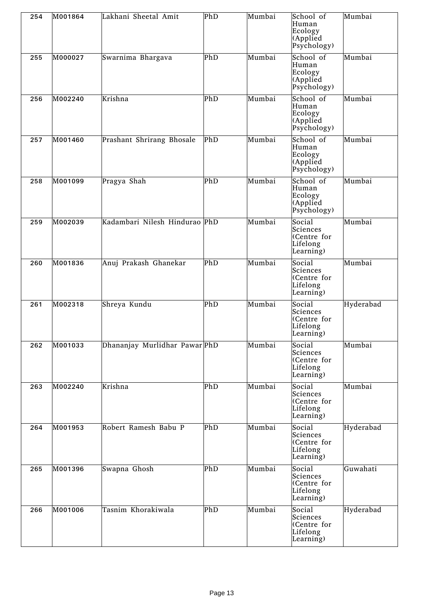| 254 | M001864 | Lakhani Sheetal Amit          | PhD | Mumbai | School of<br>Human<br>Ecology<br>(Applied<br>Psychology)   | Mumbai    |
|-----|---------|-------------------------------|-----|--------|------------------------------------------------------------|-----------|
| 255 | M000027 | Swarnima Bhargava             | PhD | Mumbai | School of<br>Human<br>Ecology<br>(Applied<br>Psychology)   | Mumbai    |
| 256 | M002240 | Krishna                       | PhD | Mumbai | School of<br>Human<br>Ecology<br>(Applied<br>Psychology)   | Mumbai    |
| 257 | M001460 | Prashant Shrirang Bhosale     | PhD | Mumbai | School of<br>Human<br>Ecology<br>(Applied<br>Psychology)   | Mumbai    |
| 258 | M001099 | Pragya Shah                   | PhD | Mumbai | School of<br>Human<br>Ecology<br>(Applied<br>Psychology)   | Mumbai    |
| 259 | M002039 | Kadambari Nilesh Hindurao PhD |     | Mumbai | Social<br>Sciences<br>(Centre for<br>Lifelong<br>Learning) | Mumbai    |
| 260 | M001836 | Anuj Prakash Ghanekar         | PhD | Mumbai | Social<br>Sciences<br>(Centre for<br>Lifelong<br>Learning) | Mumbai    |
| 261 | M002318 | Shreya Kundu                  | PhD | Mumbai | Social<br>Sciences<br>(Centre for<br>Lifelong<br>Learning) | Hyderabad |
| 262 | M001033 | Dhananjay Murlidhar Pawar PhD |     | Mumbai | Social<br>Sciences<br>(Centre for<br>Lifelong<br>Learning) | Mumbai    |
| 263 | M002240 | Krishna                       | PhD | Mumbai | Social<br>Sciences<br>(Centre for<br>Lifelong<br>Learning) | Mumbai    |
| 264 | M001953 | Robert Ramesh Babu P          | PhD | Mumbai | Social<br>Sciences<br>(Centre for<br>Lifelong<br>Learning) | Hyderabad |
| 265 | M001396 | Swapna Ghosh                  | PhD | Mumbai | Social<br>Sciences<br>(Centre for<br>Lifelong<br>Learning) | Guwahati  |
| 266 | M001006 | Tasnim Khorakiwala            | PhD | Mumbai | Social<br>Sciences<br>(Centre for<br>Lifelong<br>Learning) | Hyderabad |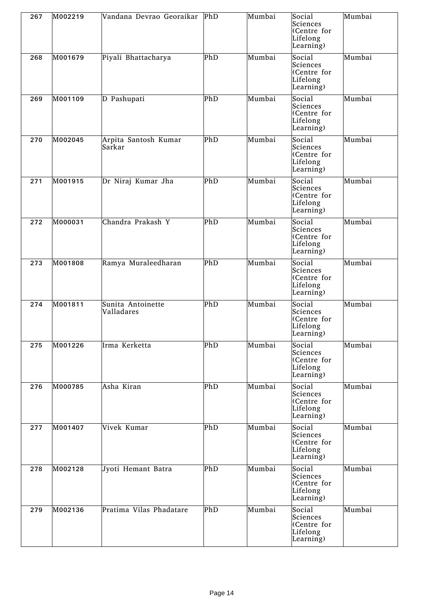| 267 | M002219 | Vandana Devrao Georaikar        | PhD | Mumbai | Social<br>Sciences<br>(Centre for<br>Lifelong<br>Learning) | Mumbai |
|-----|---------|---------------------------------|-----|--------|------------------------------------------------------------|--------|
| 268 | M001679 | Piyali Bhattacharya             | PhD | Mumbai | Social<br>Sciences<br>(Centre for<br>Lifelong<br>Learning) | Mumbai |
| 269 | M001109 | D Pashupati                     | PhD | Mumbai | Social<br>Sciences<br>(Centre for<br>Lifelong<br>Learning) | Mumbai |
| 270 | M002045 | Arpita Santosh Kumar<br>Sarkar  | PhD | Mumbai | Social<br>Sciences<br>(Centre for<br>Lifelong<br>Learning) | Mumbai |
| 271 | M001915 | Dr Niraj Kumar Jha              | PhD | Mumbai | Social<br>Sciences<br>(Centre for<br>Lifelong<br>Learning) | Mumbai |
| 272 | M000031 | Chandra Prakash Y               | PhD | Mumbai | Social<br>Sciences<br>(Centre for<br>Lifelong<br>Learning) | Mumbai |
| 273 | M001808 | Ramya Muraleedharan             | PhD | Mumbai | Social<br>Sciences<br>(Centre for<br>Lifelong<br>Learning) | Mumbai |
| 274 | M001811 | Sunita Antoinette<br>Valladares | PhD | Mumbai | Social<br>Sciences<br>(Centre for<br>Lifelong<br>Learning) | Mumbai |
| 275 | M001226 | Irma Kerketta                   | PhD | Mumbai | Social<br>Sciences<br>(Centre for<br>Lifelong<br>Learning) | Mumbai |
| 276 | M000785 | Asha Kiran                      | PhD | Mumbai | Social<br>Sciences<br>(Centre for<br>Lifelong<br>Learning) | Mumbai |
| 277 | M001407 | Vivek Kumar                     | PhD | Mumbai | Social<br>Sciences<br>(Centre for<br>Lifelong<br>Learning) | Mumbai |
| 278 | M002128 | Jyoti Hemant Batra              | PhD | Mumbai | Social<br>Sciences<br>(Centre for<br>Lifelong<br>Learning) | Mumbai |
| 279 | M002136 | Pratima Vilas Phadatare         | PhD | Mumbai | Social<br>Sciences<br>(Centre for<br>Lifelong<br>Learning) | Mumbai |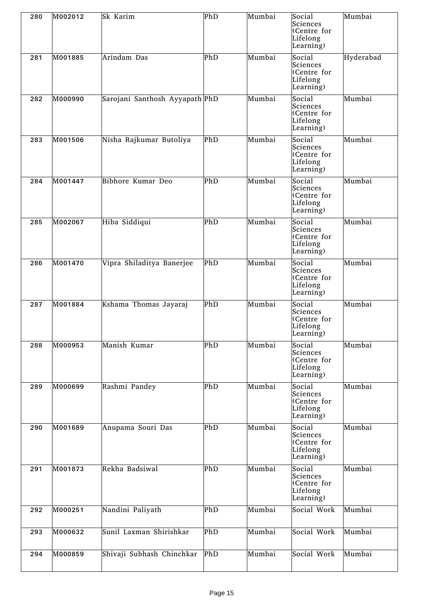| 280 | M002012 | Sk Karim                       | PhD | Mumbai | Social<br>Sciences<br>(Centre for<br>Lifelong<br>Learning) | Mumbai    |
|-----|---------|--------------------------------|-----|--------|------------------------------------------------------------|-----------|
| 281 | M001885 | Arindam Das                    | PhD | Mumbai | Social<br>Sciences<br>(Centre for<br>Lifelong<br>Learning) | Hyderabad |
| 282 | M000990 | Sarojani Santhosh Ayyapath PhD |     | Mumbai | Social<br>Sciences<br>(Centre for<br>Lifelong<br>Learning) | Mumbai    |
| 283 | M001506 | Nisha Rajkumar Butoliya        | PhD | Mumbai | Social<br>Sciences<br>(Centre for<br>Lifelong<br>Learning) | Mumbai    |
| 284 | M001447 | Bibhore Kumar Deo              | PhD | Mumbai | Social<br>Sciences<br>(Centre for<br>Lifelong<br>Learning) | Mumbai    |
| 285 | M002067 | Hiba Siddiqui                  | PhD | Mumbai | Social<br>Sciences<br>(Centre for<br>Lifelong<br>Learning) | Mumbai    |
| 286 | M001470 | Vipra Shiladitya Banerjee      | PhD | Mumbai | Social<br>Sciences<br>(Centre for<br>Lifelong<br>Learning) | Mumbai    |
| 287 | M001884 | Kshama Thomas Jayaraj          | PhD | Mumbai | Social<br>Sciences<br>(Centre for<br>Lifelong<br>Learning) | Mumbai    |
| 288 | M000953 | Manish Kumar                   | PhD | Mumbai | Social<br>Sciences<br>(Centre for<br>Lifelong<br>Learning) | Mumbai    |
| 289 | M000699 | Rashmi Pandey                  | PhD | Mumbai | Social<br>Sciences<br>(Centre for<br>Lifelong<br>Learning) | Mumbai    |
| 290 | M001689 | Anupama Souri Das              | PhD | Mumbai | Social<br>Sciences<br>(Centre for<br>Lifelong<br>Learning) | Mumbai    |
| 291 | M001873 | Rekha Badsiwal                 | PhD | Mumbai | Social<br>Sciences<br>(Centre for<br>Lifelong<br>Learning) | Mumbai    |
| 292 | M000251 | Nandini Paliyath               | PhD | Mumbai | Social Work                                                | Mumbai    |
| 293 | M000632 | Sunil Laxman Shirishkar        | PhD | Mumbai | Social Work                                                | Mumbai    |
| 294 | M000859 | Shivaji Subhash Chinchkar      | PhD | Mumbai | Social Work                                                | Mumbai    |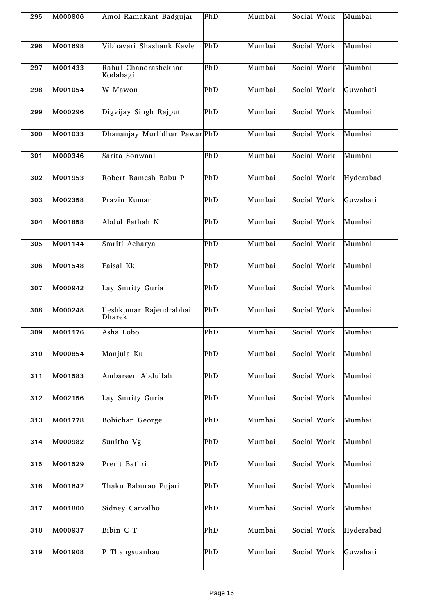| 295 | M000806 | Amol Ramakant Badgujar            | PhD         | Mumbai | Social Work | Mumbai    |
|-----|---------|-----------------------------------|-------------|--------|-------------|-----------|
| 296 | M001698 | Vibhavari Shashank Kavle          | PhD         | Mumbai | Social Work | Mumbai    |
| 297 | M001433 | Rahul Chandrashekhar<br>Kodabagi  | PhD         | Mumbai | Social Work | Mumbai    |
| 298 | M001054 | W Mawon                           | PhD         | Mumbai | Social Work | Guwahati  |
| 299 | M000296 | Digvijay Singh Rajput             | PhD         | Mumbai | Social Work | Mumbai    |
| 300 | M001033 | Dhananjay Murlidhar Pawar PhD     |             | Mumbai | Social Work | Mumbai    |
| 301 | M000346 | Sarita Sonwani                    | PhD         | Mumbai | Social Work | Mumbai    |
| 302 | M001953 | Robert Ramesh Babu P              | PhD         | Mumbai | Social Work | Hyderabad |
| 303 | M002358 | Pravin Kumar                      | PhD         | Mumbai | Social Work | Guwahati  |
| 304 | M001858 | Abdul Fathah N                    | PhD         | Mumbai | Social Work | Mumbai    |
| 305 | M001144 | Smriti Acharya                    | PhD         | Mumbai | Social Work | Mumbai    |
| 306 | M001548 | Faisal Kk                         | PhD         | Mumbai | Social Work | Mumbai    |
| 307 | M000942 | Lay Smrity Guria                  | PhD         | Mumbai | Social Work | Mumbai    |
| 308 | M000248 | Ileshkumar Rajendrabhai<br>Dharek | $\bar{P}hD$ | Mumbai | Social Work | Mumbai    |
| 309 | M001176 | Asha Lobo                         | PhD         | Mumbai | Social Work | Mumbai    |
| 310 | M000854 | Manjula Ku                        | PhD         | Mumbai | Social Work | Mumbai    |
| 311 | M001583 | Ambareen Abdullah                 | PhD         | Mumbai | Social Work | Mumbai    |
| 312 | M002156 | Lay Smrity Guria                  | PhD         | Mumbai | Social Work | Mumbai    |
| 313 | M001778 | Bobichan George                   | PhD         | Mumbai | Social Work | Mumbai    |
| 314 | M000982 | Sunitha Vg                        | PhD         | Mumbai | Social Work | Mumbai    |
| 315 | M001529 | Prerit Bathri                     | PhD         | Mumbai | Social Work | Mumbai    |
| 316 | M001642 | Thaku Baburao Pujari              | PhD         | Mumbai | Social Work | Mumbai    |
| 317 | M001800 | Sidney Carvalho                   | PhD         | Mumbai | Social Work | Mumbai    |
| 318 | M000937 | Bibin C T                         | PhD         | Mumbai | Social Work | Hyderabad |
| 319 | M001908 | P Thangsuanhau                    | PhD         | Mumbai | Social Work | Guwahati  |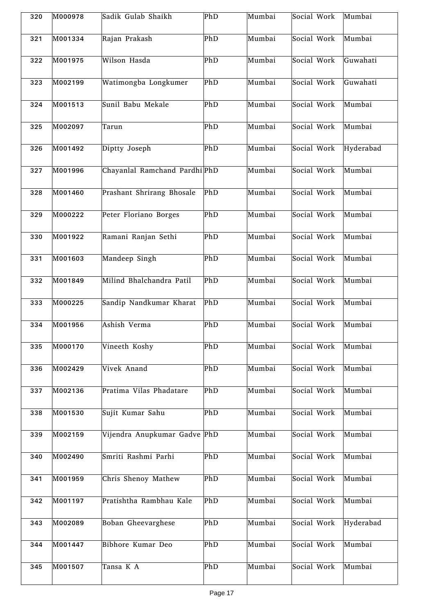| 320 | M000978 | Sadik Gulab Shaikh            | PhD | Mumbai | Social Work | Mumbai    |
|-----|---------|-------------------------------|-----|--------|-------------|-----------|
| 321 | M001334 | Rajan Prakash                 | PhD | Mumbai | Social Work | Mumbai    |
| 322 | M001975 | Wilson Hasda                  | PhD | Mumbai | Social Work | Guwahati  |
| 323 | M002199 | Watimongba Longkumer          | PhD | Mumbai | Social Work | Guwahati  |
| 324 | M001513 | Sunil Babu Mekale             | PhD | Mumbai | Social Work | Mumbai    |
| 325 | M002097 | Tarun                         | PhD | Mumbai | Social Work | Mumbai    |
| 326 | M001492 | Diptty Joseph                 | PhD | Mumbai | Social Work | Hyderabad |
| 327 | M001996 | Chayanlal Ramchand Pardhi PhD |     | Mumbai | Social Work | Mumbai    |
| 328 | M001460 | Prashant Shrirang Bhosale     | PhD | Mumbai | Social Work | Mumbai    |
| 329 | M000222 | Peter Floriano Borges         | PhD | Mumbai | Social Work | Mumbai    |
| 330 | M001922 | Ramani Ranjan Sethi           | PhD | Mumbai | Social Work | Mumbai    |
| 331 | M001603 | Mandeep Singh                 | PhD | Mumbai | Social Work | Mumbai    |
| 332 | M001849 | Milind Bhalchandra Patil      | PhD | Mumbai | Social Work | Mumbai    |
| 333 | M000225 | Sandip Nandkumar Kharat       | PhD | Mumbai | Social Work | Mumbai    |
| 334 | M001956 | Ashish Verma                  | PhD | Mumbai | Social Work | Mumbai    |
| 335 | M000170 | Vineeth Koshy                 | PhD | Mumbai | Social Work | Mumbai    |
| 336 | M002429 | Vivek Anand                   | PhD | Mumbai | Social Work | Mumbai    |
| 337 | M002136 | Pratima Vilas Phadatare       | PhD | Mumbai | Social Work | Mumbai    |
| 338 | M001530 | Sujit Kumar Sahu              | PhD | Mumbai | Social Work | Mumbai    |
| 339 | M002159 | Vijendra Anupkumar Gadve PhD  |     | Mumbai | Social Work | Mumbai    |
| 340 | M002490 | Smriti Rashmi Parhi           | PhD | Mumbai | Social Work | Mumbai    |
| 341 | M001959 | Chris Shenoy Mathew           | PhD | Mumbai | Social Work | Mumbai    |
| 342 | M001197 | Pratishtha Rambhau Kale       | PhD | Mumbai | Social Work | Mumbai    |
| 343 | M002089 | Boban Gheevarghese            | PhD | Mumbai | Social Work | Hyderabad |
| 344 | M001447 | Bibhore Kumar Deo             | PhD | Mumbai | Social Work | Mumbai    |
| 345 | M001507 | Tansa K A                     | PhD | Mumbai | Social Work | Mumbai    |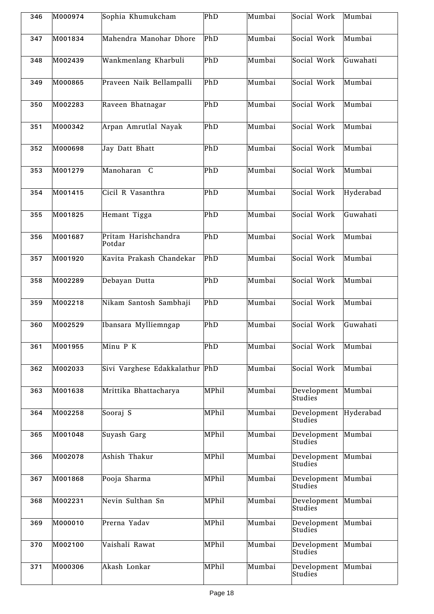| 346 | M000974 | Sophia Khumukcham              | PhD                     | Mumbai | Social Work                          | Mumbai    |
|-----|---------|--------------------------------|-------------------------|--------|--------------------------------------|-----------|
| 347 | M001834 | Mahendra Manohar Dhore         | PhD                     | Mumbai | Social Work                          | Mumbai    |
| 348 | M002439 | Wankmenlang Kharbuli           | PhD                     | Mumbai | Social Work                          | Guwahati  |
| 349 | M000865 | Praveen Naik Bellampalli       | PhD                     | Mumbai | Social Work                          | Mumbai    |
| 350 | M002283 | Raveen Bhatnagar               | PhD                     | Mumbai | Social Work                          | Mumbai    |
| 351 | M000342 | Arpan Amrutlal Nayak           | PhD                     | Mumbai | Social Work                          | Mumbai    |
| 352 | M000698 | Jay Datt Bhatt                 | PhD                     | Mumbai | Social Work                          | Mumbai    |
| 353 | M001279 | Manoharan C                    | PhD                     | Mumbai | Social Work                          | Mumbai    |
| 354 | M001415 | Cicil R Vasanthra              | PhD                     | Mumbai | Social Work                          | Hyderabad |
| 355 | M001825 | Hemant Tigga                   | PhD                     | Mumbai | Social Work                          | Guwahati  |
| 356 | M001687 | Pritam Harishchandra<br>Potdar | PhD                     | Mumbai | Social Work                          | Mumbai    |
| 357 | M001920 | Kavita Prakash Chandekar       | PhD                     | Mumbai | Social Work                          | Mumbai    |
| 358 | M002289 | Debayan Dutta                  | PhD                     | Mumbai | Social Work                          | Mumbai    |
| 359 | M002218 | Nikam Santosh Sambhaji         | PhD                     | Mumbai | Social Work                          | Mumbai    |
| 360 | M002529 | Ibansara Mylliemngap           | PhD                     | Mumbai | Social Work                          | Guwahati  |
| 361 | M001955 | Minu P K                       | $\overline{\text{PhD}}$ | Mumbai | Social Work                          | Mumbai    |
| 362 | M002033 | Sivi Varghese Edakkalathur PhD |                         | Mumbai | Social Work                          | Mumbai    |
| 363 | M001638 | Mrittika Bhattacharya          | MPhil                   | Mumbai | Development<br><b>Studies</b>        | Mumbai    |
| 364 | M002258 | Sooraj S                       | MPhil                   | Mumbai | Development Hyderabad<br>Studies     |           |
| 365 | M001048 | Suyash Garg                    | MPhil                   | Mumbai | Development Mumbai<br><b>Studies</b> |           |
| 366 | M002078 | Ashish Thakur                  | MPhil                   | Mumbai | Development Mumbai<br>Studies        |           |
| 367 | M001868 | Pooja Sharma                   | MPhil                   | Mumbai | Development Mumbai<br><b>Studies</b> |           |
| 368 | M002231 | Nevin Sulthan Sn               | MPhil                   | Mumbai | Development Mumbai<br>Studies        |           |
| 369 | M000010 | Prerna Yadav                   | MPhil                   | Mumbai | Development Mumbai<br><b>Studies</b> |           |
| 370 | M002100 | Vaishali Rawat                 | MPhil                   | Mumbai | Development Mumbai<br>Studies        |           |
| 371 | M000306 | Akash Lonkar                   | MPhil                   | Mumbai | Development Mumbai<br><b>Studies</b> |           |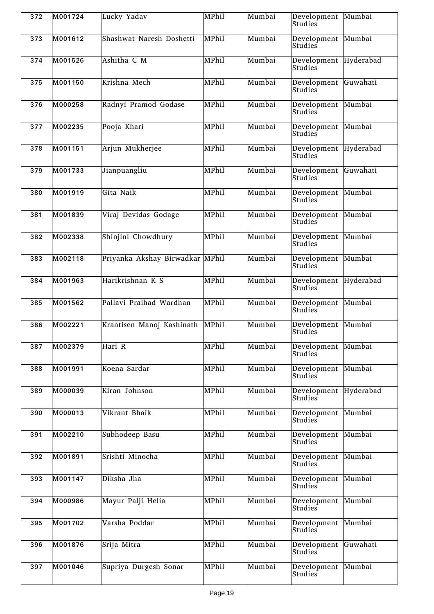| 372 | M001724 | Lucky Yadav                     | MPhil | Mumbai | Development Mumbai<br>Studies        |           |
|-----|---------|---------------------------------|-------|--------|--------------------------------------|-----------|
| 373 | M001612 | Shashwat Naresh Doshetti        | MPhil | Mumbai | Development<br>Studies               | Mumbai    |
| 374 | M001526 | Ashitha C M                     | MPhil | Mumbai | Development<br>Studies               | Hyderabad |
| 375 | M001150 | Krishna Mech                    | MPhil | Mumbai | Development<br>Studies               | Guwahati  |
| 376 | M000258 | Radnyi Pramod Godase            | MPhil | Mumbai | Development<br>Studies               | Mumbai    |
| 377 | M002235 | Pooja Khari                     | MPhil | Mumbai | Development<br>Studies               | Mumbai    |
| 378 | M001151 | Arjun Mukherjee                 | MPhil | Mumbai | Development<br>Studies               | Hyderabad |
| 379 | M001733 | Jianpuangliu                    | MPhil | Mumbai | Development<br>Studies               | Guwahati  |
| 380 | M001919 | Gita Naik                       | MPhil | Mumbai | Development<br>Studies               | Mumbai    |
| 381 | M001839 | Viraj Devidas Godage            | MPhil | Mumbai | Development<br>Studies               | Mumbai    |
| 382 | M002338 | Shinjini Chowdhury              | MPhil | Mumbai | Development Mumbai<br>Studies        |           |
| 383 | M002118 | Priyanka Akshay Birwadkar MPhil |       | Mumbai | Development<br>Studies               | Mumbai    |
| 384 | M001963 | Harikrishnan K S                | MPhil | Mumbai | Development Hyderabad<br>Studies     |           |
| 385 | M001562 | Pallavi Pralhad Wardhan         | MPhil | Mumbai | Development Mumbai<br>Studies        |           |
| 386 | M002221 | Krantisen Manoj Kashinath       | MPhil | Mumbai | Development Mumbai<br>Studies        |           |
| 387 | M002379 | Hari R                          | MPhil | Mumbai | Development Mumbai<br><b>Studies</b> |           |
| 388 | M001991 | Koena Sardar                    | MPhil | Mumbai | Development Mumbai<br>Studies        |           |
| 389 | M000039 | Kiran Johnson                   | MPhil | Mumbai | Development Hyderabad<br>Studies     |           |
| 390 | M000013 | Vikrant Bhaik                   | MPhil | Mumbai | Development Mumbai<br>Studies        |           |
| 391 | M002210 | Subhodeep Basu                  | MPhil | Mumbai | Development<br><b>Studies</b>        | Mumbai    |
| 392 | M001891 | Srishti Minocha                 | MPhil | Mumbai | Development<br>Studies               | Mumbai    |
| 393 | M001147 | Diksha Jha                      | MPhil | Mumbai | Development<br>Studies               | Mumbai    |
| 394 | M000986 | Mayur Palji Helia               | MPhil | Mumbai | Development Mumbai<br>Studies        |           |
| 395 | M001702 | Varsha Poddar                   | MPhil | Mumbai | Development<br>Studies               | Mumbai    |
| 396 | M001876 | Srija Mitra                     | MPhil | Mumbai | Development<br>Studies               | Guwahati  |
| 397 | M001046 | Supriya Durgesh Sonar           | MPhil | Mumbai | Development<br><b>Studies</b>        | Mumbai    |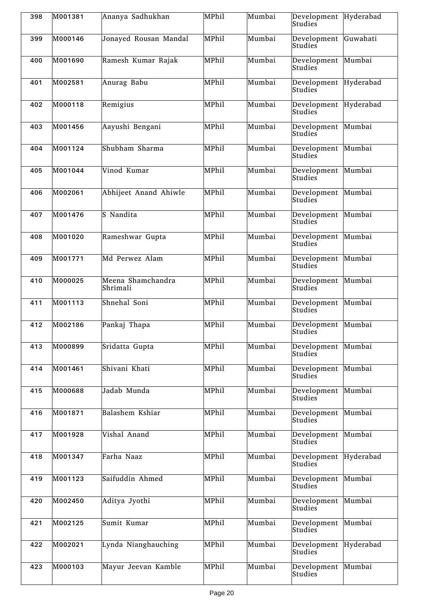| 398 | M001381 | Ananya Sadhukhan              | MPhil | Mumbai | Development Hyderabad<br>Studies |           |
|-----|---------|-------------------------------|-------|--------|----------------------------------|-----------|
| 399 | M000146 | Jonayed Rousan Mandal         | MPhil | Mumbai | Development<br>Studies           | Guwahati  |
| 400 | M001690 | Ramesh Kumar Rajak            | MPhil | Mumbai | Development Mumbai<br>Studies    |           |
| 401 | M002581 | Anurag Babu                   | MPhil | Mumbai | Development<br>Studies           | Hyderabad |
| 402 | M000118 | Remigius                      | MPhil | Mumbai | Development<br>Studies           | Hyderabad |
| 403 | M001456 | Aayushi Bengani               | MPhil | Mumbai | Development<br>Studies           | Mumbai    |
| 404 | M001124 | Shubham Sharma                | MPhil | Mumbai | Development<br>Studies           | Mumbai    |
| 405 | M001044 | Vinod Kumar                   | MPhil | Mumbai | Development<br>Studies           | Mumbai    |
| 406 | M002061 | Abhijeet Anand Ahiwle         | MPhil | Mumbai | Development<br>Studies           | Mumbai    |
| 407 | M001476 | S Nandita                     | MPhil | Mumbai | Development<br>Studies           | Mumbai    |
| 408 | M001020 | Rameshwar Gupta               | MPhil | Mumbai | Development<br>Studies           | Mumbai    |
| 409 | M001771 | Md Perwez Alam                | MPhil | Mumbai | Development<br>Studies           | Mumbai    |
| 410 | M000025 | Meena Shamchandra<br>Shrimali | MPhil | Mumbai | Development<br>Studies           | Mumbai    |
| 411 | M001113 | Shnehal Soni                  | MPhil | Mumbai | Development<br>Studies           | Mumbai    |
| 412 | M002186 | Pankaj Thapa                  | MPhil | Mumbai | Development<br>Studies           | Mumbai    |
| 413 | M000899 | Sridatta Gupta                | MPhil | Mumbai | Development Mumbai<br>Studies    |           |
| 414 | M001461 | Shivani Khati                 | MPhil | Mumbai | Development Mumbai<br>Studies    |           |
| 415 | M000688 | Jadab Munda                   | MPhil | Mumbai | Development<br>Studies           | Mumbai    |
| 416 | M001871 | Balashem Kshiar               | MPhil | Mumbai | Development Mumbai<br>Studies    |           |
| 417 | M001928 | Vishal Anand                  | MPhil | Mumbai | Development<br>Studies           | Mumbai    |
| 418 | M001347 | Farha Naaz                    | MPhil | Mumbai | Development<br>Studies           | Hyderabad |
| 419 | M001123 | Saifuddin Ahmed               | MPhil | Mumbai | Development<br><b>Studies</b>    | Mumbai    |
| 420 | M002450 | Aditya Jyothi                 | MPhil | Mumbai | Development<br>Studies           | Mumbai    |
| 421 | M002125 | Sumit Kumar                   | MPhil | Mumbai | Development<br>Studies           | Mumbai    |
| 422 | M002021 | Lynda Nianghauching           | MPhil | Mumbai | Development<br>Studies           | Hyderabad |
| 423 | M000103 | Mayur Jeevan Kamble           | MPhil | Mumbai | Development<br>Studies           | Mumbai    |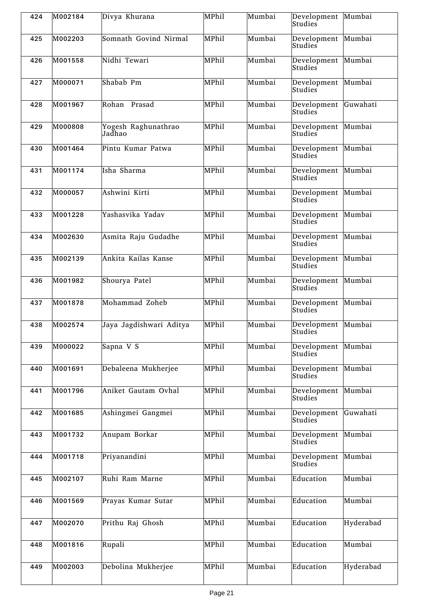| 424 | M002184 | Divya Khurana                 | MPhil | Mumbai | Development Mumbai<br>Studies   |           |
|-----|---------|-------------------------------|-------|--------|---------------------------------|-----------|
| 425 | M002203 | Somnath Govind Nirmal         | MPhil | Mumbai | Development Mumbai<br>Studies   |           |
| 426 | M001558 | Nidhi Tewari                  | MPhil | Mumbai | Development Mumbai<br>Studies   |           |
| 427 | M000071 | Shabab Pm                     | MPhil | Mumbai | Development Mumbai<br>Studies   |           |
| 428 | M001967 | Rohan Prasad                  | MPhil | Mumbai | Development Guwahati<br>Studies |           |
| 429 | M000808 | Yogesh Raghunathrao<br>Jadhao | MPhil | Mumbai | Development Mumbai<br>Studies   |           |
| 430 | M001464 | Pintu Kumar Patwa             | MPhil | Mumbai | Development Mumbai<br>Studies   |           |
| 431 | M001174 | Isha Sharma                   | MPhil | Mumbai | Development Mumbai<br>Studies   |           |
| 432 | M000057 | Ashwini Kirti                 | MPhil | Mumbai | Development<br>Studies          | Mumbai    |
| 433 | M001228 | Yashasvika Yadav              | MPhil | Mumbai | Development<br>Studies          | Mumbai    |
| 434 | M002630 | Asmita Raju Gudadhe           | MPhil | Mumbai | Development<br>Studies          | Mumbai    |
| 435 | M002139 | Ankita Kailas Kanse           | MPhil | Mumbai | Development<br>Studies          | Mumbai    |
| 436 | M001982 | Shourya Patel                 | MPhil | Mumbai | Development<br>Studies          | Mumbai    |
| 437 | M001878 | Mohammad Zoheb                | MPhil | Mumbai | Development Mumbai<br>Studies   |           |
| 438 | M002574 | Jaya Jagdishwari Aditya       | MPhil | Mumbai | Development<br>Studies          | Mumbai    |
| 439 | M000022 | Sapna V S                     | MPhil | Mumbai | Development Mumbai<br>Studies   |           |
| 440 | M001691 | Debaleena Mukherjee           | MPhil | Mumbai | Development<br>Studies          | Mumbai    |
| 441 | M001796 | Aniket Gautam Ovhal           | MPhil | Mumbai | Development<br><b>Studies</b>   | Mumbai    |
| 442 | M001685 | Ashingmei Gangmei             | MPhil | Mumbai | Development<br>Studies          | Guwahati  |
| 443 | M001732 | Anupam Borkar                 | MPhil | Mumbai | Development<br><b>Studies</b>   | Mumbai    |
| 444 | M001718 | Priyanandini                  | MPhil | Mumbai | Development<br>Studies          | Mumbai    |
| 445 | M002107 | Ruhi Ram Marne                | MPhil | Mumbai | Education                       | Mumbai    |
| 446 | M001569 | Prayas Kumar Sutar            | MPhil | Mumbai | Education                       | Mumbai    |
| 447 | M002070 | Prithu Raj Ghosh              | MPhil | Mumbai | Education                       | Hyderabad |
| 448 | M001816 | Rupali                        | MPhil | Mumbai | Education                       | Mumbai    |
| 449 | M002003 | Debolina Mukherjee            | MPhil | Mumbai | Education                       | Hyderabad |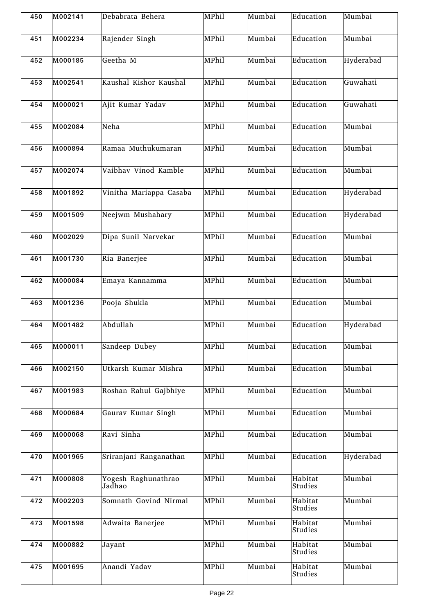| 450 | M002141 | Debabrata Behera              | MPhil | Mumbai | Education          | Mumbai    |
|-----|---------|-------------------------------|-------|--------|--------------------|-----------|
| 451 | M002234 | Rajender Singh                | MPhil | Mumbai | Education          | Mumbai    |
| 452 | M000185 | Geetha M                      | MPhil | Mumbai | Education          | Hyderabad |
| 453 | M002541 | Kaushal Kishor Kaushal        | MPhil | Mumbai | Education          | Guwahati  |
| 454 | M000021 | Ajit Kumar Yadav              | MPhil | Mumbai | Education          | Guwahati  |
| 455 | M002084 | Neha                          | MPhil | Mumbai | Education          | Mumbai    |
| 456 | M000894 | Ramaa Muthukumaran            | MPhil | Mumbai | Education          | Mumbai    |
| 457 | M002074 | Vaibhav Vinod Kamble          | MPhil | Mumbai | Education          | Mumbai    |
| 458 | M001892 | Vinitha Mariappa Casaba       | MPhil | Mumbai | Education          | Hyderabad |
| 459 | M001509 | Neejwm Mushahary              | MPhil | Mumbai | Education          | Hyderabad |
| 460 | M002029 | Dipa Sunil Narvekar           | MPhil | Mumbai | Education          | Mumbai    |
| 461 | M001730 | Ria Banerjee                  | MPhil | Mumbai | Education          | Mumbai    |
| 462 | M000084 | Emaya Kannamma                | MPhil | Mumbai | Education          | Mumbai    |
| 463 | M001236 | Pooja Shukla                  | MPhil | Mumbai | Education          | Mumbai    |
| 464 | M001482 | Abdullah                      | MPhil | Mumbai | Education          | Hyderabad |
| 465 | M000011 | Sandeep Dubey                 | MPhil | Mumbai | Education          | Mumbai    |
| 466 | M002150 | Utkarsh Kumar Mishra          | MPhil | Mumbai | Education          | Mumbai    |
| 467 | M001983 | Roshan Rahul Gajbhiye         | MPhil | Mumbai | Education          | Mumbai    |
| 468 | M000684 | Gaurav Kumar Singh            | MPhil | Mumbai | Education          | Mumbai    |
| 469 | M000068 | Ravi Sinha                    | MPhil | Mumbai | Education          | Mumbai    |
| 470 | M001965 | Sriranjani Ranganathan        | MPhil | Mumbai | Education          | Hyderabad |
| 471 | M000808 | Yogesh Raghunathrao<br>Jadhao | MPhil | Mumbai | Habitat<br>Studies | Mumbai    |
| 472 | M002203 | Somnath Govind Nirmal         | MPhil | Mumbai | Habitat<br>Studies | Mumbai    |
| 473 | M001598 | Adwaita Banerjee              | MPhil | Mumbai | Habitat<br>Studies | Mumbai    |
| 474 | M000882 | Jayant                        | MPhil | Mumbai | Habitat<br>Studies | Mumbai    |
| 475 | M001695 | Anandi Yadav                  | MPhil | Mumbai | Habitat<br>Studies | Mumbai    |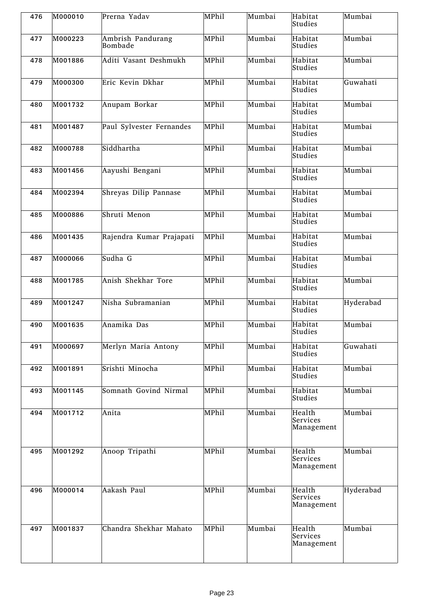| 476 | M000010 | Prerna Yadav                 | MPhil | Mumbai | Habitat<br>Studies               | Mumbai    |
|-----|---------|------------------------------|-------|--------|----------------------------------|-----------|
| 477 | M000223 | Ambrish Pandurang<br>Bombade | MPhil | Mumbai | Habitat<br>Studies               | Mumbai    |
| 478 | M001886 | Aditi Vasant Deshmukh        | MPhil | Mumbai | Habitat<br>Studies               | Mumbai    |
| 479 | M000300 | Eric Kevin Dkhar             | MPhil | Mumbai | Habitat<br>Studies               | Guwahati  |
| 480 | M001732 | Anupam Borkar                | MPhil | Mumbai | Habitat<br>Studies               | Mumbai    |
| 481 | M001487 | Paul Sylvester Fernandes     | MPhil | Mumbai | Habitat<br>Studies               | Mumbai    |
| 482 | M000788 | Siddhartha                   | MPhil | Mumbai | Habitat<br>Studies               | Mumbai    |
| 483 | M001456 | Aayushi Bengani              | MPhil | Mumbai | Habitat<br>Studies               | Mumbai    |
| 484 | M002394 | Shreyas Dilip Pannase        | MPhil | Mumbai | Habitat<br>Studies               | Mumbai    |
| 485 | M000886 | Shruti Menon                 | MPhil | Mumbai | Habitat<br>Studies               | Mumbai    |
| 486 | M001435 | Rajendra Kumar Prajapati     | MPhil | Mumbai | Habitat<br>Studies               | Mumbai    |
| 487 | M000066 | Sudha G                      | MPhil | Mumbai | Habitat<br>Studies               | Mumbai    |
| 488 | M001785 | Anish Shekhar Tore           | MPhil | Mumbai | Habitat<br>Studies               | Mumbai    |
| 489 | M001247 | Nisha Subramanian            | MPhil | Mumbai | Habitat<br>Studies               | Hyderabad |
| 490 | M001635 | Anamika Das                  | MPhil | Mumbai | Habitat<br>Studies               | Mumbai    |
| 491 | M000697 | Merlyn Maria Antony          | MPhil | Mumbai | Habitat<br>Studies               | Guwahati  |
| 492 | M001891 | Srishti Minocha              | MPhil | Mumbai | Habitat<br>Studies               | Mumbai    |
| 493 | M001145 | Somnath Govind Nirmal        | MPhil | Mumbai | Habitat<br>Studies               | Mumbai    |
| 494 | M001712 | Anita                        | MPhil | Mumbai | Health<br>Services<br>Management | Mumbai    |
| 495 | M001292 | Anoop Tripathi               | MPhil | Mumbai | Health<br>Services<br>Management | Mumbai    |
| 496 | M000014 | Aakash Paul                  | MPhil | Mumbai | Health<br>Services<br>Management | Hyderabad |
| 497 | M001837 | Chandra Shekhar Mahato       | MPhil | Mumbai | Health<br>Services<br>Management | Mumbai    |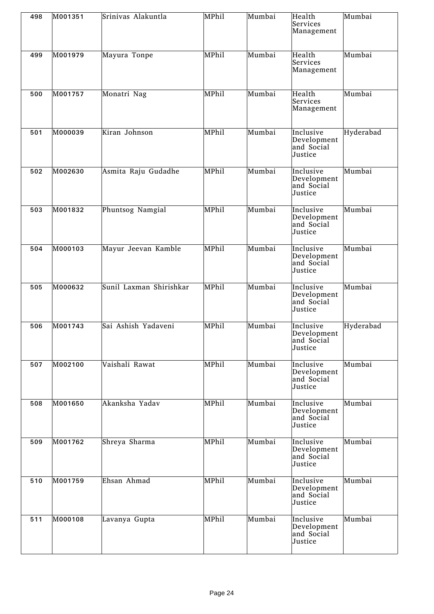| 498 | M001351 | Srinivas Alakuntla      | MPhil        | Mumbai | Health<br>Services<br>Management                  | Mumbai    |
|-----|---------|-------------------------|--------------|--------|---------------------------------------------------|-----------|
| 499 | M001979 | Mayura Tonpe            | MPhil        | Mumbai | Health<br>Services<br>Management                  | Mumbai    |
| 500 | M001757 | Monatri Nag             | MPhil        | Mumbai | Health<br>Services<br>Management                  | Mumbai    |
| 501 | M000039 | Kiran Johnson           | MPhil        | Mumbai | Inclusive<br>Development<br>and Social<br>Justice | Hyderabad |
| 502 | M002630 | Asmita Raju Gudadhe     | MPhil        | Mumbai | Inclusive<br>Development<br>and Social<br>Justice | Mumbai    |
| 503 | M001832 | Phuntsog Namgial        | MPhil        | Mumbai | Inclusive<br>Development<br>and Social<br>Justice | Mumbai    |
| 504 | M000103 | Mayur Jeevan Kamble     | MPhil        | Mumbai | Inclusive<br>Development<br>and Social<br>Justice | Mumbai    |
| 505 | M000632 | Sunil Laxman Shirishkar | MPhil        | Mumbai | Inclusive<br>Development<br>and Social<br>Justice | Mumbai    |
| 506 | M001743 | Sai Ashish Yadaveni     | MPhil        | Mumbai | Inclusive<br>Development<br>and Social<br>Justice | Hyderabad |
| 507 | M002100 | Vaishali Rawat          | <b>MPhil</b> | Mumbai | Inclusive<br>Development<br>and Social<br>Justice | Mumbai    |
| 508 | M001650 | Akanksha Yadav          | MPhil        | Mumbai | Inclusive<br>Development<br>and Social<br>Justice | Mumbai    |
| 509 | M001762 | Shreya Sharma           | MPhil        | Mumbai | Inclusive<br>Development<br>and Social<br>Justice | Mumbai    |
| 510 | M001759 | Ehsan Ahmad             | MPhil        | Mumbai | Inclusive<br>Development<br>and Social<br>Justice | Mumbai    |
| 511 | M000108 | Lavanya Gupta           | MPhil        | Mumbai | Inclusive<br>Development<br>and Social<br>Justice | Mumbai    |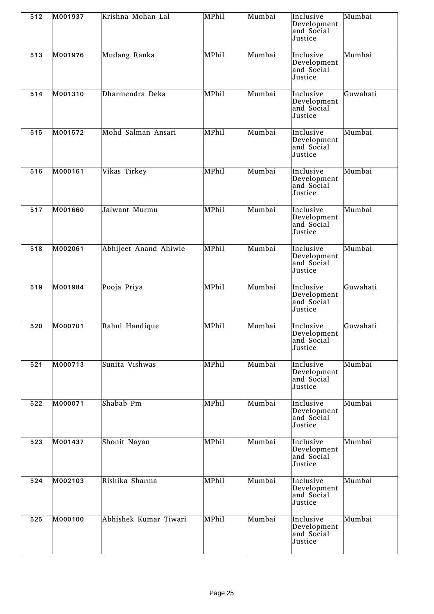| 512 | M001937 | Krishna Mohan Lal     | MPhil | Mumbai | Inclusive<br>Development<br>and Social<br>Justice | Mumbai   |
|-----|---------|-----------------------|-------|--------|---------------------------------------------------|----------|
| 513 | M001976 | Mudang Ranka          | MPhil | Mumbai | Inclusive<br>Development<br>and Social<br>Justice | Mumbai   |
| 514 | M001310 | Dharmendra Deka       | MPhil | Mumbai | Inclusive<br>Development<br>and Social<br>Justice | Guwahati |
| 515 | M001572 | Mohd Salman Ansari    | MPhil | Mumbai | Inclusive<br>Development<br>and Social<br>Justice | Mumbai   |
| 516 | M000161 | Vikas Tirkey          | MPhil | Mumbai | Inclusive<br>Development<br>and Social<br>Justice | Mumbai   |
| 517 | M001660 | Jaiwant Murmu         | MPhil | Mumbai | Inclusive<br>Development<br>and Social<br>Justice | Mumbai   |
| 518 | M002061 | Abhijeet Anand Ahiwle | MPhil | Mumbai | Inclusive<br>Development<br>and Social<br>Justice | Mumbai   |
| 519 | M001984 | Pooja Priya           | MPhil | Mumbai | Inclusive<br>Development<br>and Social<br>Justice | Guwahati |
| 520 | M000701 | Rahul Handique        | MPhil | Mumbai | Inclusive<br>Development<br>and Social<br>Justice | Guwahati |
| 521 | M000713 | Sunita Vishwas        | MPhil | Mumbai | Inclusive<br>Development<br>and Social<br>Justice | Mumbai   |
| 522 | M000071 | Shabab Pm             | MPhil | Mumbai | Inclusive<br>Development<br>and Social<br>Justice | Mumbai   |
| 523 | M001437 | Shonit Nayan          | MPhil | Mumbai | Inclusive<br>Development<br>and Social<br>Justice | Mumbai   |
| 524 | M002103 | Rishika Sharma        | MPhil | Mumbai | Inclusive<br>Development<br>and Social<br>Justice | Mumbai   |
| 525 | M000100 | Abhishek Kumar Tiwari | MPhil | Mumbai | Inclusive<br>Development<br>and Social<br>Justice | Mumbai   |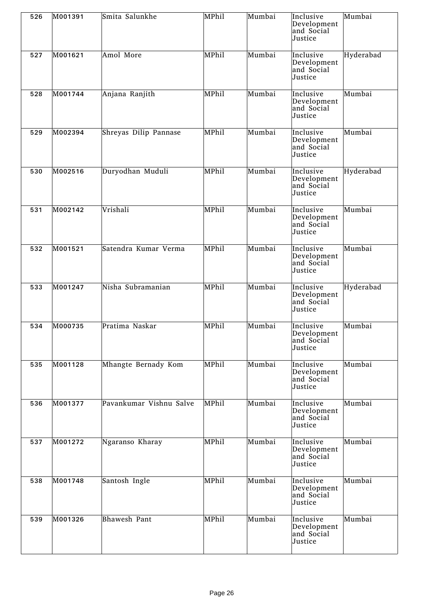| 526 | M001391 | Smita Salunkhe          | MPhil | Mumbai | Inclusive<br>Development<br>and Social<br>Justice | Mumbai    |
|-----|---------|-------------------------|-------|--------|---------------------------------------------------|-----------|
| 527 | M001621 | Amol More               | MPhil | Mumbai | Inclusive<br>Development<br>and Social<br>Justice | Hyderabad |
| 528 | M001744 | Anjana Ranjith          | MPhil | Mumbai | Inclusive<br>Development<br>and Social<br>Justice | Mumbai    |
| 529 | M002394 | Shreyas Dilip Pannase   | MPhil | Mumbai | Inclusive<br>Development<br>and Social<br>Justice | Mumbai    |
| 530 | M002516 | Duryodhan Muduli        | MPhil | Mumbai | Inclusive<br>Development<br>and Social<br>Justice | Hyderabad |
| 531 | M002142 | Vrishali                | MPhil | Mumbai | Inclusive<br>Development<br>and Social<br>Justice | Mumbai    |
| 532 | M001521 | Satendra Kumar Verma    | MPhil | Mumbai | Inclusive<br>Development<br>and Social<br>Justice | Mumbai    |
| 533 | M001247 | Nisha Subramanian       | MPhil | Mumbai | Inclusive<br>Development<br>and Social<br>Justice | Hyderabad |
| 534 | M000735 | Pratima Naskar          | MPhil | Mumbai | Inclusive<br>Development<br>and Social<br>Justice | Mumbai    |
| 535 | M001128 | Mhangte Bernady Kom     | MPhil | Mumbai | Inclusive<br>Development<br>and Social<br>Justice | Mumbai    |
| 536 | M001377 | Pavankumar Vishnu Salve | MPhil | Mumbai | Inclusive<br>Development<br>and Social<br>Justice | Mumbai    |
| 537 | M001272 | Ngaranso Kharay         | MPhil | Mumbai | Inclusive<br>Development<br>and Social<br>Justice | Mumbai    |
| 538 | M001748 | Santosh Ingle           | MPhil | Mumbai | Inclusive<br>Development<br>and Social<br>Justice | Mumbai    |
| 539 | M001326 | Bhawesh Pant            | MPhil | Mumbai | Inclusive<br>Development<br>and Social<br>Justice | Mumbai    |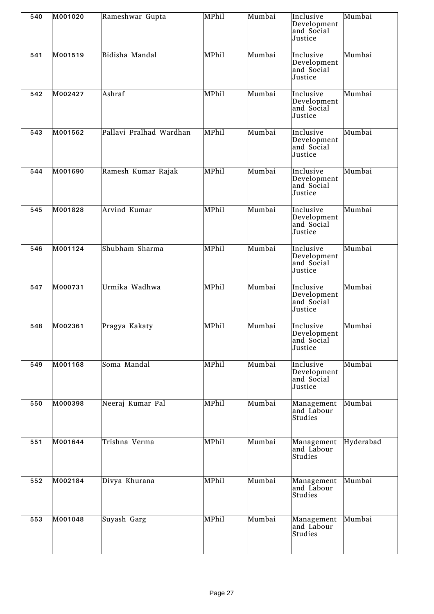| 540 | M001020 | Rameshwar Gupta         | MPhil | Mumbai | Inclusive<br>Development<br>and Social<br>Justice | Mumbai    |
|-----|---------|-------------------------|-------|--------|---------------------------------------------------|-----------|
| 541 | M001519 | Bidisha Mandal          | MPhil | Mumbai | Inclusive<br>Development<br>and Social<br>Justice | Mumbai    |
| 542 | M002427 | Ashraf                  | MPhil | Mumbai | Inclusive<br>Development<br>and Social<br>Justice | Mumbai    |
| 543 | M001562 | Pallavi Pralhad Wardhan | MPhil | Mumbai | Inclusive<br>Development<br>and Social<br>Justice | Mumbai    |
| 544 | M001690 | Ramesh Kumar Rajak      | MPhil | Mumbai | Inclusive<br>Development<br>and Social<br>Justice | Mumbai    |
| 545 | M001828 | Arvind Kumar            | MPhil | Mumbai | Inclusive<br>Development<br>and Social<br>Justice | Mumbai    |
| 546 | M001124 | Shubham Sharma          | MPhil | Mumbai | Inclusive<br>Development<br>and Social<br>Justice | Mumbai    |
| 547 | M000731 | Urmika Wadhwa           | MPhil | Mumbai | Inclusive<br>Development<br>and Social<br>Justice | Mumbai    |
| 548 | M002361 | Pragya Kakaty           | MPhil | Mumbai | Inclusive<br>Development<br>and Social<br>Justice | Mumbai    |
| 549 | M001168 | Soma Mandal             | MPhil | Mumbai | Inclusive<br>Development<br>and Social<br>Justice | Mumbai    |
| 550 | M000398 | Neeraj Kumar Pal        | MPhil | Mumbai | Management<br>and Labour<br>Studies               | Mumbai    |
| 551 | M001644 | Trishna Verma           | MPhil | Mumbai | Management<br>and Labour<br>Studies               | Hyderabad |
| 552 | M002184 | Divya Khurana           | MPhil | Mumbai | Management<br>and Labour<br>Studies               | Mumbai    |
| 553 | M001048 | Suyash Garg             | MPhil | Mumbai | Management<br>and Labour<br>Studies               | Mumbai    |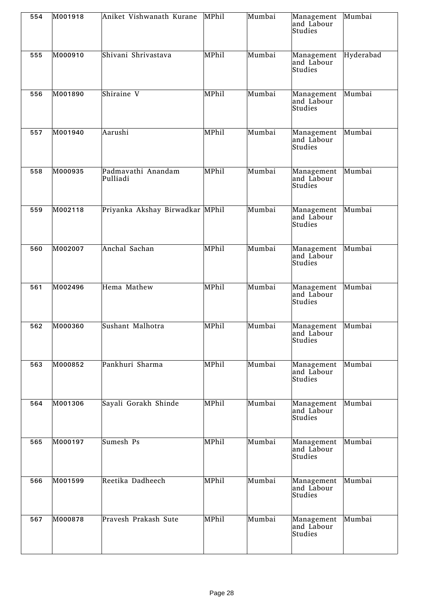| 554 | M001918 | Aniket Vishwanath Kurane        | MPhil | Mumbai | Management<br>and Labour<br>Studies | Mumbai    |
|-----|---------|---------------------------------|-------|--------|-------------------------------------|-----------|
| 555 | M000910 | Shivani Shrivastava             | MPhil | Mumbai | Management<br>and Labour<br>Studies | Hyderabad |
| 556 | M001890 | Shiraine V                      | MPhil | Mumbai | Management<br>and Labour<br>Studies | Mumbai    |
| 557 | M001940 | Aarushi                         | MPhil | Mumbai | Management<br>and Labour<br>Studies | Mumbai    |
| 558 | M000935 | Padmavathi Anandam<br>Pulliadi  | MPhil | Mumbai | Management<br>and Labour<br>Studies | Mumbai    |
| 559 | M002118 | Priyanka Akshay Birwadkar MPhil |       | Mumbai | Management<br>and Labour<br>Studies | Mumbai    |
| 560 | M002007 | Anchal Sachan                   | MPhil | Mumbai | Management<br>and Labour<br>Studies | Mumbai    |
| 561 | M002496 | Hema Mathew                     | MPhil | Mumbai | Management<br>and Labour<br>Studies | Mumbai    |
| 562 | M000360 | Sushant Malhotra                | MPhil | Mumbai | Management<br>and Labour<br>Studies | Mumbai    |
| 563 | M000852 | Pankhuri Sharma                 | MPhil | Mumbai | Management<br>and Labour<br>Studies | Mumbai    |
| 564 | M001306 | Sayali Gorakh Shinde            | MPhil | Mumbai | Management<br>and Labour<br>Studies | Mumbai    |
| 565 | M000197 | Sumesh Ps                       | MPhil | Mumbai | Management<br>and Labour<br>Studies | Mumbai    |
| 566 | M001599 | Reetika Dadheech                | MPhil | Mumbai | Management<br>and Labour<br>Studies | Mumbai    |
| 567 | M000878 | Pravesh Prakash Sute            | MPhil | Mumbai | Management<br>and Labour<br>Studies | Mumbai    |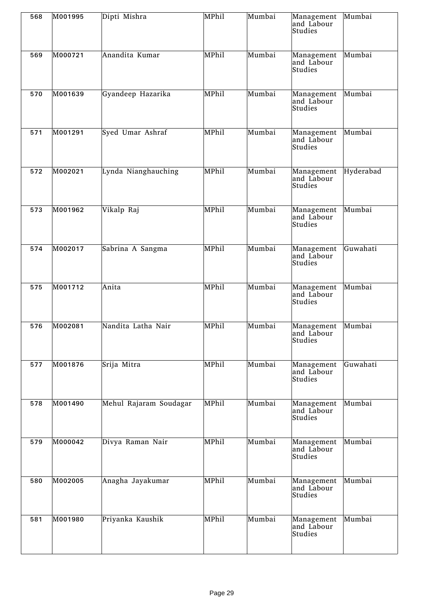| 568 | M001995 | Dipti Mishra           | MPhil | Mumbai | Management<br>and Labour<br>Studies | Mumbai    |
|-----|---------|------------------------|-------|--------|-------------------------------------|-----------|
| 569 | M000721 | Anandita Kumar         | MPhil | Mumbai | Management<br>and Labour<br>Studies | Mumbai    |
| 570 | M001639 | Gyandeep Hazarika      | MPhil | Mumbai | Management<br>and Labour<br>Studies | Mumbai    |
| 571 | M001291 | Syed Umar Ashraf       | MPhil | Mumbai | Management<br>and Labour<br>Studies | Mumbai    |
| 572 | M002021 | Lynda Nianghauching    | MPhil | Mumbai | Management<br>and Labour<br>Studies | Hyderabad |
| 573 | M001962 | Vikalp Raj             | MPhil | Mumbai | Management<br>and Labour<br>Studies | Mumbai    |
| 574 | M002017 | Sabrina A Sangma       | MPhil | Mumbai | Management<br>and Labour<br>Studies | Guwahati  |
| 575 | M001712 | Anita                  | MPhil | Mumbai | Management<br>and Labour<br>Studies | Mumbai    |
| 576 | M002081 | Nandita Latha Nair     | MPhil | Mumbai | Management<br>and Labour<br>Studies | Mumbai    |
| 577 | M001876 | Srija Mitra            | MPhil | Mumbai | Management<br>and Labour<br>Studies | Guwahati  |
| 578 | M001490 | Mehul Rajaram Soudagar | MPhil | Mumbai | Management<br>and Labour<br>Studies | Mumbai    |
| 579 | M000042 | Divya Raman Nair       | MPhil | Mumbai | Management<br>and Labour<br>Studies | Mumbai    |
| 580 | M002005 | Anagha Jayakumar       | MPhil | Mumbai | Management<br>and Labour<br>Studies | Mumbai    |
| 581 | M001980 | Priyanka Kaushik       | MPhil | Mumbai | Management<br>and Labour<br>Studies | Mumbai    |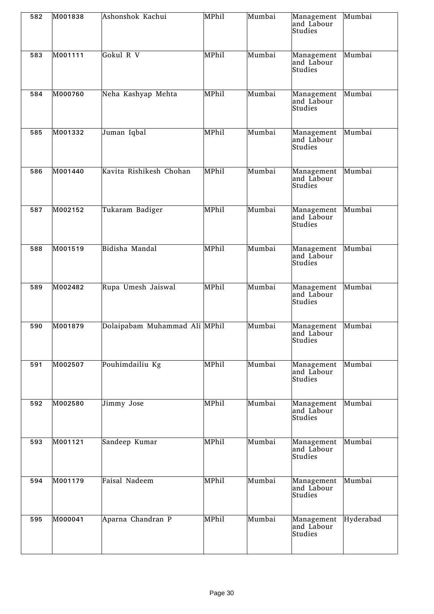| 582 | M001838 | Ashonshok Kachui              | MPhil | Mumbai | Management<br>and Labour<br>Studies | Mumbai    |
|-----|---------|-------------------------------|-------|--------|-------------------------------------|-----------|
| 583 | M001111 | Gokul R V                     | MPhil | Mumbai | Management<br>and Labour<br>Studies | Mumbai    |
| 584 | M000760 | Neha Kashyap Mehta            | MPhil | Mumbai | Management<br>and Labour<br>Studies | Mumbai    |
| 585 | M001332 | Juman Iqbal                   | MPhil | Mumbai | Management<br>and Labour<br>Studies | Mumbai    |
| 586 | M001440 | Kavita Rishikesh Chohan       | MPhil | Mumbai | Management<br>and Labour<br>Studies | Mumbai    |
| 587 | M002152 | Tukaram Badiger               | MPhil | Mumbai | Management<br>and Labour<br>Studies | Mumbai    |
| 588 | M001519 | Bidisha Mandal                | MPhil | Mumbai | Management<br>and Labour<br>Studies | Mumbai    |
| 589 | M002482 | Rupa Umesh Jaiswal            | MPhil | Mumbai | Management<br>and Labour<br>Studies | Mumbai    |
| 590 | M001879 | Dolaipabam Muhammad Ali MPhil |       | Mumbai | Management<br>and Labour<br>Studies | Mumbai    |
| 591 | M002507 | Pouhimdailiu Kg               | MPhil | Mumbai | Management<br>and Labour<br>Studies | Mumbai    |
| 592 | M002580 | Jimmy Jose                    | MPhil | Mumbai | Management<br>and Labour<br>Studies | Mumbai    |
| 593 | M001121 | Sandeep Kumar                 | MPhil | Mumbai | Management<br>and Labour<br>Studies | Mumbai    |
| 594 | M001179 | Faisal Nadeem                 | MPhil | Mumbai | Management<br>and Labour<br>Studies | Mumbai    |
| 595 | M000041 | Aparna Chandran P             | MPhil | Mumbai | Management<br>and Labour<br>Studies | Hyderabad |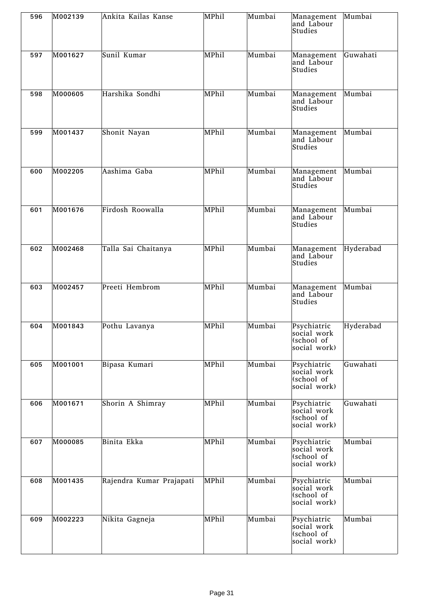| 596 | M002139 | Ankita Kailas Kanse      | MPhil | Mumbai                        | Management<br>and Labour<br>Studies                      | Mumbai    |
|-----|---------|--------------------------|-------|-------------------------------|----------------------------------------------------------|-----------|
| 597 | M001627 | Sunil Kumar              | MPhil | Mumbai                        | Management<br>and Labour<br>Studies                      | Guwahati  |
| 598 | M000605 | Harshika Sondhi          | MPhil | Mumbai                        | Management<br>and Labour<br>Studies                      | Mumbai    |
| 599 | M001437 | Shonit Nayan             | MPhil | Mumbai                        | Management<br>and Labour<br>Studies                      | Mumbai    |
| 600 | M002205 | Aashima Gaba             | MPhil | Mumbai                        | Management<br>and Labour<br>Studies                      | Mumbai    |
| 601 | M001676 | Firdosh Roowalla         | MPhil | Mumbai                        | Management<br>and Labour<br>Studies                      | Mumbai    |
| 602 | M002468 | Talla Sai Chaitanya      | MPhil | Mumbai                        | Management<br>and Labour<br>Studies                      | Hyderabad |
| 603 | M002457 | Preeti Hembrom           | MPhil | $\overline{\mathrm{M}}$ umbai | Management<br>and Labour<br>Studies                      | Mumbai    |
| 604 | M001843 | Pothu Lavanya            | MPhil | Mumbai                        | Psychiatric<br>social work<br>(school of<br>social work) | Hyderabad |
| 605 | M001001 | Bipasa Kumari            | MPhil | Mumbai                        | Psychiatric<br>social work<br>(school of<br>social work) | Guwahati  |
| 606 | M001671 | Shorin A Shimray         | MPhil | Mumbai                        | Psychiatric<br>social work<br>(school of<br>social work) | Guwahati  |
| 607 | M000085 | Binita Ekka              | MPhil | Mumbai                        | Psychiatric<br>social work<br>(school of<br>social work) | Mumbai    |
| 608 | M001435 | Rajendra Kumar Prajapati | MPhil | Mumbai                        | Psychiatric<br>social work<br>(school of<br>social work) | Mumbai    |
| 609 | M002223 | Nikita Gagneja           | MPhil | Mumbai                        | Psychiatric<br>social work<br>(school of<br>social work) | Mumbai    |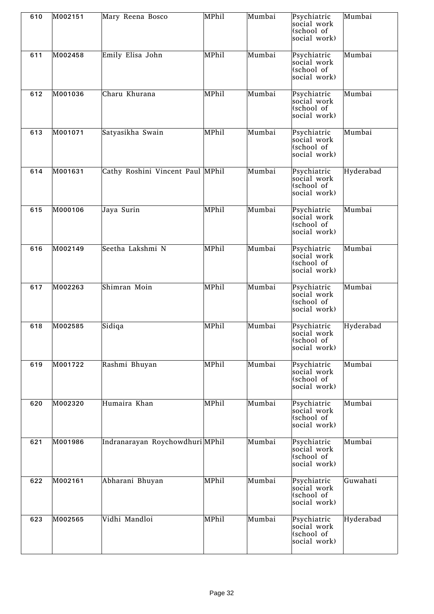| 610 | M002151 | Mary Reena Bosco                 | MPhil | Mumbai | Psychiatric<br>social work<br>(school of<br>social work) | Mumbai    |
|-----|---------|----------------------------------|-------|--------|----------------------------------------------------------|-----------|
| 611 | M002458 | Emily Elisa John                 | MPhil | Mumbai | Psychiatric<br>social work<br>(school of<br>social work) | Mumbai    |
| 612 | M001036 | Charu Khurana                    | MPhil | Mumbai | Psychiatric<br>social work<br>(school of<br>social work) | Mumbai    |
| 613 | M001071 | Satyasikha Swain                 | MPhil | Mumbai | Psychiatric<br>social work<br>(school of<br>social work) | Mumbai    |
| 614 | M001631 | Cathy Roshini Vincent Paul MPhil |       | Mumbai | Psychiatric<br>social work<br>(school of<br>social work) | Hyderabad |
| 615 | M000106 | Jaya Surin                       | MPhil | Mumbai | Psychiatric<br>social work<br>(school of<br>social work) | Mumbai    |
| 616 | M002149 | Seetha Lakshmi N                 | MPhil | Mumbai | Psychiatric<br>social work<br>(school of<br>social work) | Mumbai    |
| 617 | M002263 | Shimran Moin                     | MPhil | Mumbai | Psychiatric<br>social work<br>(school of<br>social work) | Mumbai    |
| 618 | M002585 | Sidiqa                           | MPhil | Mumbai | Psychiatric<br>social work<br>(school of<br>social work) | Hyderabad |
| 619 | M001722 | Rashmi Bhuyan                    | MPhil | Mumbai | Psychiatric<br>social work<br>(school of<br>social work) | Mumbai    |
| 620 | M002320 | Humaira Khan                     | MPhil | Mumbai | Psychiatric<br>social work<br>(school of<br>social work) | Mumbai    |
| 621 | M001986 | Indranarayan Roychowdhuri MPhil  |       | Mumbai | Psychiatric<br>social work<br>(school of<br>social work) | Mumbai    |
| 622 | M002161 | Abharani Bhuyan                  | MPhil | Mumbai | Psychiatric<br>social work<br>(school of<br>social work) | Guwahati  |
| 623 | M002565 | Vidhi Mandloi                    | MPhil | Mumbai | Psychiatric<br>social work<br>(school of<br>social work) | Hyderabad |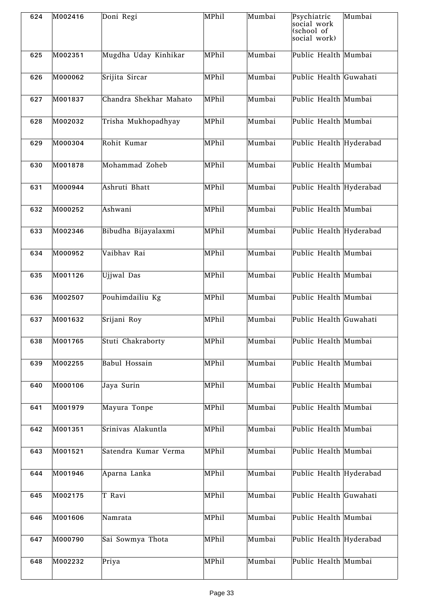| 624 | M002416 | Doni Regi              | MPhil | Mumbai | Psychiatric<br>social work<br>(school of<br>social work) | Mumbai |
|-----|---------|------------------------|-------|--------|----------------------------------------------------------|--------|
| 625 | M002351 | Mugdha Uday Kinhikar   | MPhil | Mumbai | Public Health Mumbai                                     |        |
| 626 | M000062 | Srijita Sircar         | MPhil | Mumbai | Public Health Guwahati                                   |        |
| 627 | M001837 | Chandra Shekhar Mahato | MPhil | Mumbai | Public Health Mumbai                                     |        |
| 628 | M002032 | Trisha Mukhopadhyay    | MPhil | Mumbai | Public Health Mumbai                                     |        |
| 629 | M000304 | Rohit Kumar            | MPhil | Mumbai | Public Health Hyderabad                                  |        |
| 630 | M001878 | Mohammad Zoheb         | MPhil | Mumbai | Public Health Mumbai                                     |        |
| 631 | M000944 | Ashruti Bhatt          | MPhil | Mumbai | Public Health Hyderabad                                  |        |
| 632 | M000252 | Ashwani                | MPhil | Mumbai | Public Health Mumbai                                     |        |
| 633 | M002346 | Bibudha Bijayalaxmi    | MPhil | Mumbai | Public Health Hyderabad                                  |        |
| 634 | M000952 | Vaibhav Rai            | MPhil | Mumbai | Public Health Mumbai                                     |        |
| 635 | M001126 | Ujjwal Das             | MPhil | Mumbai | Public Health Mumbai                                     |        |
| 636 | M002507 | Pouhimdailiu Kg        | MPhil | Mumbai | Public Health Mumbai                                     |        |
| 637 | M001632 | Srijani Roy            | MPhil | Mumbai | Public Health Guwahati                                   |        |
| 638 | M001765 | Stuti Chakraborty      | MPhil | Mumbai | Public Health Mumbai                                     |        |
| 639 | M002255 | <b>Babul Hossain</b>   | MPhil | Mumbai | Public Health Mumbai                                     |        |
| 640 | M000106 | Jaya Surin             | MPhil | Mumbai | Public Health Mumbai                                     |        |
| 641 | M001979 | Mayura Tonpe           | MPhil | Mumbai | Public Health Mumbai                                     |        |
| 642 | M001351 | Srinivas Alakuntla     | MPhil | Mumbai | Public Health Mumbai                                     |        |
| 643 | M001521 | Satendra Kumar Verma   | MPhil | Mumbai | Public Health Mumbai                                     |        |
| 644 | M001946 | Aparna Lanka           | MPhil | Mumbai | Public Health Hyderabad                                  |        |
| 645 | M002175 | T Ravi                 | MPhil | Mumbai | Public Health Guwahati                                   |        |
| 646 | M001606 | Namrata                | MPhil | Mumbai | Public Health Mumbai                                     |        |
| 647 | M000790 | Sai Sowmya Thota       | MPhil | Mumbai | Public Health Hyderabad                                  |        |
| 648 | M002232 | Priya                  | MPhil | Mumbai | Public Health Mumbai                                     |        |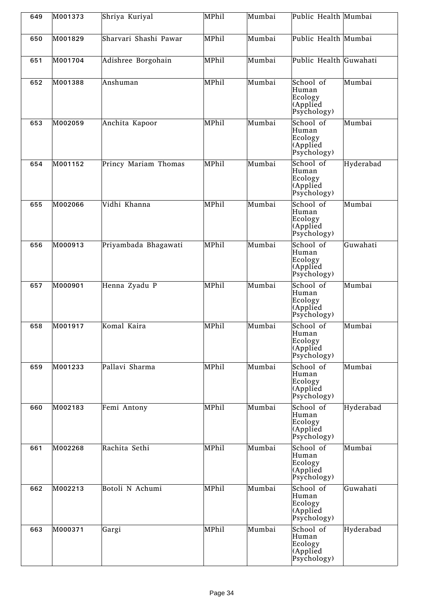| 649 | M001373 | Shriya Kuriyal        | MPhil | Mumbai | Public Health Mumbai                                      |           |
|-----|---------|-----------------------|-------|--------|-----------------------------------------------------------|-----------|
| 650 | M001829 | Sharvari Shashi Pawar | MPhil | Mumbai | Public Health Mumbai                                      |           |
| 651 | M001704 | Adishree Borgohain    | MPhil | Mumbai | Public Health Guwahati                                    |           |
| 652 | M001388 | Anshuman              | MPhil | Mumbai | School of<br>Human<br>Ecology<br>(Applied<br>Psychology)  | Mumbai    |
| 653 | M002059 | Anchita Kapoor        | MPhil | Mumbai | School of<br>Human<br>Ecology<br>(Applied<br>Psychology)  | Mumbai    |
| 654 | M001152 | Princy Mariam Thomas  | MPhil | Mumbai | School of<br>Human<br>Ecology<br>(Applied<br>Psychology)  | Hyderabad |
| 655 | M002066 | Vidhi Khanna          | MPhil | Mumbai | School of<br>Human<br>Ecology<br>(Applied<br>Psychology)  | Mumbai    |
| 656 | M000913 | Priyambada Bhagawati  | MPhil | Mumbai | School of<br>Human<br>Ecology<br>(Applied<br>Psychology)  | Guwahati  |
| 657 | M000901 | Henna Zyadu P         | MPhil | Mumbai | School of<br>Human<br>Ecology<br>(Applied<br>Psychology)  | Mumbai    |
| 658 | M001917 | Komal Kaira           | MPhil | Mumbai | School of<br>Human<br> Ecology<br>(Applied<br>Psychology) | Mumbai    |
| 659 | M001233 | Pallavi Sharma        | MPhil | Mumbai | School of<br>Human<br>Ecology<br>(Applied<br>Psychology)  | Mumbai    |
| 660 | M002183 | Femi Antony           | MPhil | Mumbai | School of<br>Human<br>Ecology<br>(Applied<br>Psychology)  | Hyderabad |
| 661 | M002268 | Rachita Sethi         | MPhil | Mumbai | School of<br>Human<br>Ecology<br>(Applied<br>Psychology)  | Mumbai    |
| 662 | M002213 | Botoli N Achumi       | MPhil | Mumbai | School of<br>Human<br>Ecology<br>(Applied<br>Psychology)  | Guwahati  |
| 663 | M000371 | Gargi                 | MPhil | Mumbai | School of<br>Human<br>Ecology<br>(Applied<br>Psychology)  | Hyderabad |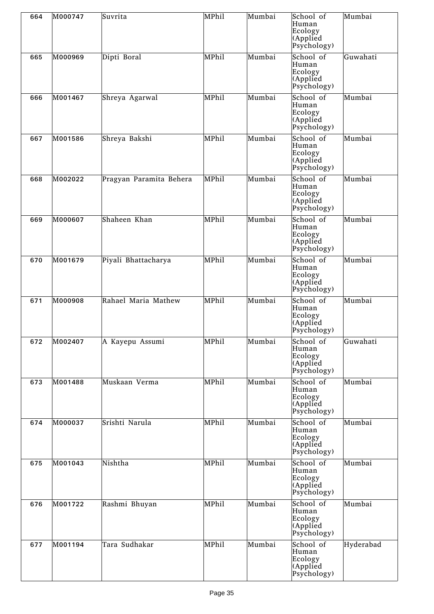| 664 | M000747 | Suvrita                 | MPhil | Mumbai | School of<br>Human<br>Ecology<br>(Applied<br>Psychology) | Mumbai    |
|-----|---------|-------------------------|-------|--------|----------------------------------------------------------|-----------|
| 665 | M000969 | Dipti Boral             | MPhil | Mumbai | School of<br>Human<br>Ecology<br>(Applied<br>Psychology) | Guwahati  |
| 666 | M001467 | Shreya Agarwal          | MPhil | Mumbai | School of<br>Human<br>Ecology<br>(Applied<br>Psychology) | Mumbai    |
| 667 | M001586 | Shreya Bakshi           | MPhil | Mumbai | School of<br>Human<br>Ecology<br>(Applied<br>Psychology) | Mumbai    |
| 668 | M002022 | Pragyan Paramita Behera | MPhil | Mumbai | School of<br>Human<br>Ecology<br>(Applied<br>Psychology) | Mumbai    |
| 669 | M000607 | Shaheen Khan            | MPhil | Mumbai | School of<br>Human<br>Ecology<br>(Applied<br>Psychology) | Mumbai    |
| 670 | M001679 | Piyali Bhattacharya     | MPhil | Mumbai | School of<br>Human<br>Ecology<br>(Applied<br>Psychology) | Mumbai    |
| 671 | M000908 | Rahael Maria Mathew     | MPhil | Mumbai | School of<br>Human<br>Ecology<br>(Applied<br>Psychology) | Mumbai    |
| 672 | M002407 | A Kayepu Assumi         | MPhil | Mumbai | School of<br>Human<br>Ecology<br>(Applied<br>Psychology) | Guwahati  |
| 673 | M001488 | Muskaan Verma           | MPhil | Mumbai | School of<br>Human<br>Ecology<br>(Applied<br>Psychology) | Mumbai    |
| 674 | M000037 | Srishti Narula          | MPhil | Mumbai | School of<br>Human<br>Ecology<br>(Applied<br>Psychology) | Mumbai    |
| 675 | M001043 | Nishtha                 | MPhil | Mumbai | School of<br>Human<br>Ecology<br>(Applied<br>Psychology) | Mumbai    |
| 676 | M001722 | Rashmi Bhuyan           | MPhil | Mumbai | School of<br>Human<br>Ecology<br>(Applied<br>Psychology) | Mumbai    |
| 677 | M001194 | Tara Sudhakar           | MPhil | Mumbai | School of<br>Human<br>Ecology<br>(Applied<br>Psychology) | Hyderabad |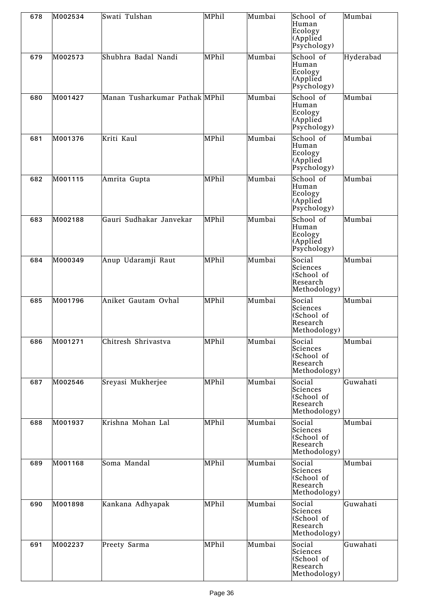| 678 | M002534 | Swati Tulshan                  | MPhil | Mumbai | School of<br>Human<br>Ecology<br>(Applied<br>Psychology)     | Mumbai    |
|-----|---------|--------------------------------|-------|--------|--------------------------------------------------------------|-----------|
| 679 | M002573 | Shubhra Badal Nandi            | MPhil | Mumbai | School of<br>Human<br>Ecology<br>(Applied<br>Psychology)     | Hyderabad |
| 680 | M001427 | Manan Tusharkumar Pathak MPhil |       | Mumbai | School of<br>Human<br>Ecology<br>(Applied<br>Psychology)     | Mumbai    |
| 681 | M001376 | Kriti Kaul                     | MPhil | Mumbai | School of<br>Human<br>Ecology<br>(Applied<br>Psychology)     | Mumbai    |
| 682 | M001115 | Amrita Gupta                   | MPhil | Mumbai | School of<br>Human<br>Ecology<br>(Applied<br>Psychology)     | Mumbai    |
| 683 | M002188 | Gauri Sudhakar Janvekar        | MPhil | Mumbai | School of<br>Human<br>Ecology<br>(Applied<br>Psychology)     | Mumbai    |
| 684 | M000349 | Anup Udaramji Raut             | MPhil | Mumbai | Social<br>Sciences<br>(School of<br>Research<br>Methodology) | Mumbai    |
| 685 | M001796 | Aniket Gautam Ovhal            | MPhil | Mumbai | Social<br>Sciences<br>(School of<br>Research<br>Methodology) | Mumbai    |
| 686 | M001271 | Chitresh Shrivastva            | MPhil | Mumbai | Social<br>Sciences<br>(School of<br>Research<br>Methodology) | Mumbai    |
| 687 | M002546 | Sreyasi Mukherjee              | MPhil | Mumbai | Social<br>Sciences<br>(School of<br>Research<br>Methodology) | Guwahati  |
| 688 | M001937 | Krishna Mohan Lal              | MPhil | Mumbai | Social<br>Sciences<br>(School of<br>Research<br>Methodology) | Mumbai    |
| 689 | M001168 | Soma Mandal                    | MPhil | Mumbai | Social<br>Sciences<br>(School of<br>Research<br>Methodology) | Mumbai    |
| 690 | M001898 | Kankana Adhyapak               | MPhil | Mumbai | Social<br>Sciences<br>(School of<br>Research<br>Methodology) | Guwahati  |
| 691 | M002237 | Preety Sarma                   | MPhil | Mumbai | Social<br>Sciences<br>(School of<br>Research<br>Methodology) | Guwahati  |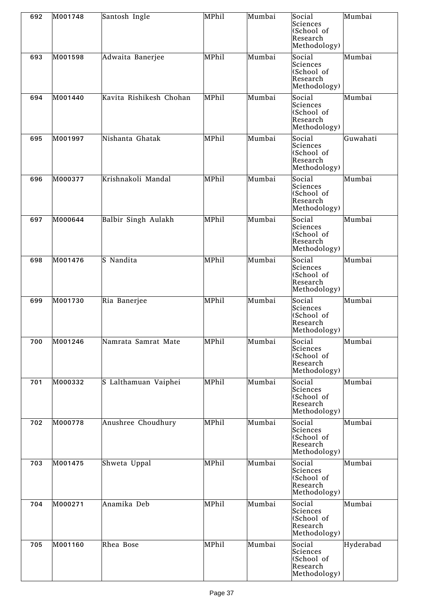| 692 | M001748 | Santosh Ingle           | MPhil | Mumbai | Social<br>Sciences<br>(School of<br>Research<br>Methodology) | Mumbai    |
|-----|---------|-------------------------|-------|--------|--------------------------------------------------------------|-----------|
| 693 | M001598 | Adwaita Banerjee        | MPhil | Mumbai | Social<br>Sciences<br>(School of<br>Research<br>Methodology) | Mumbai    |
| 694 | M001440 | Kavita Rishikesh Chohan | MPhil | Mumbai | Social<br>Sciences<br>(School of<br>Research<br>Methodology) | Mumbai    |
| 695 | M001997 | Nishanta Ghatak         | MPhil | Mumbai | Social<br>Sciences<br>(School of<br>Research<br>Methodology) | Guwahati  |
| 696 | M000377 | Krishnakoli Mandal      | MPhil | Mumbai | Social<br>Sciences<br>(School of<br>Research<br>Methodology) | Mumbai    |
| 697 | M000644 | Balbir Singh Aulakh     | MPhil | Mumbai | Social<br>Sciences<br>(School of<br>Research<br>Methodology) | Mumbai    |
| 698 | M001476 | S Nandita               | MPhil | Mumbai | Social<br>Sciences<br>(School of<br>Research<br>Methodology) | Mumbai    |
| 699 | M001730 | Ria Banerjee            | MPhil | Mumbai | Social<br>Sciences<br>(School of<br>Research<br>Methodology) | Mumbai    |
| 700 | M001246 | Namrata Samrat Mate     | MPhil | Mumbai | Social<br>Sciences<br>(School of<br>Research<br>Methodology) | Mumbai    |
| 701 | M000332 | S Lalthamuan Vaiphei    | MPhil | Mumbai | Social<br>Sciences<br>(School of<br>Research<br>Methodology) | Mumbai    |
| 702 | M000778 | Anushree Choudhury      | MPhil | Mumbai | Social<br>Sciences<br>(School of<br>Research<br>Methodology) | Mumbai    |
| 703 | M001475 | Shweta Uppal            | MPhil | Mumbai | Social<br>Sciences<br>(School of<br>Research<br>Methodology) | Mumbai    |
| 704 | M000271 | Anamika Deb             | MPhil | Mumbai | Social<br>Sciences<br>(School of<br>Research<br>Methodology) | Mumbai    |
| 705 | M001160 | Rhea Bose               | MPhil | Mumbai | Social<br>Sciences<br>(School of<br>Research<br>Methodology) | Hyderabad |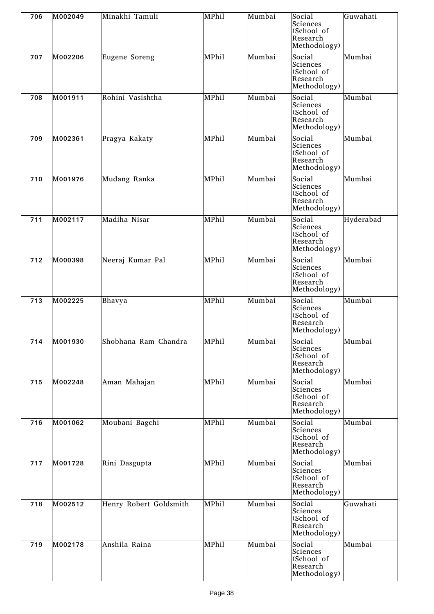| 706 | M002049 | Minakhi Tamuli         | MPhil | Mumbai | Social<br>Sciences<br>(School of<br>Research<br>Methodology) | Guwahati  |
|-----|---------|------------------------|-------|--------|--------------------------------------------------------------|-----------|
| 707 | M002206 | Eugene Soreng          | MPhil | Mumbai | SociaI<br>Sciences<br>(School of<br>Research<br>Methodology) | Mumbai    |
| 708 | M001911 | Rohini Vasishtha       | MPhil | Mumbai | Social<br>Sciences<br>(School of<br>Research<br>Methodology) | Mumbai    |
| 709 | M002361 | Pragya Kakaty          | MPhil | Mumbai | Social<br>Sciences<br>(School of<br>Research<br>Methodology) | Mumbai    |
| 710 | M001976 | Mudang Ranka           | MPhil | Mumbai | Social<br>Sciences<br>(School of<br>Research<br>Methodology) | Mumbai    |
| 711 | M002117 | Madiha Nisar           | MPhil | Mumbai | Social<br>Sciences<br>(School of<br>Research<br>Methodology) | Hyderabad |
| 712 | M000398 | Neeraj Kumar Pal       | MPhil | Mumbai | Social<br>Sciences<br>(School of<br>Research<br>Methodology) | Mumbai    |
| 713 | M002225 | Bhavya                 | MPhil | Mumbai | Social<br>Sciences<br>(School of<br>Research<br>Methodology) | Mumbai    |
| 714 | M001930 | Shobhana Ram Chandra   | MPhil | Mumbai | Social<br>Sciences<br>(School of<br>Research<br>Methodology) | Mumbai    |
| 715 | M002248 | Aman Mahajan           | MPhil | Mumbai | Social<br>Sciences<br>(School of<br>Research<br>Methodology) | Mumbai    |
| 716 | M001062 | Moubani Bagchi         | MPhil | Mumbai | Social<br>Sciences<br>(School of<br>Research<br>Methodology) | Mumbai    |
| 717 | M001728 | Rini Dasgupta          | MPhil | Mumbai | Social<br>Sciences<br>(School of<br>Research<br>Methodology) | Mumbai    |
| 718 | M002512 | Henry Robert Goldsmith | MPhil | Mumbai | Social<br>Sciences<br>(School of<br>Research<br>Methodology) | Guwahati  |
| 719 | M002178 | Anshila Raina          | MPhil | Mumbai | Social<br>Sciences<br>(School of<br>Research<br>Methodology) | Mumbai    |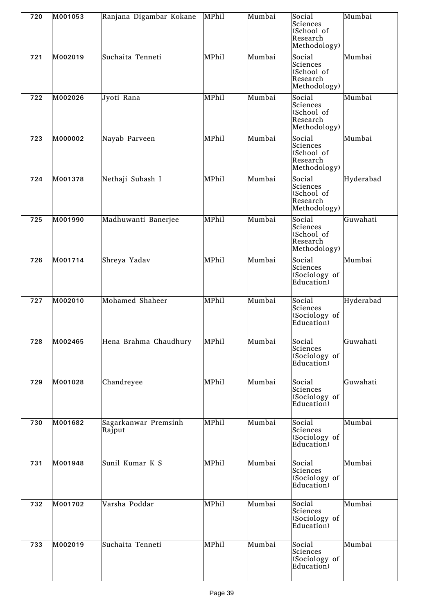| 720 | M001053 | Ranjana Digambar Kokane        | MPhil | Mumbai | Social<br>Sciences<br>(School of<br>Research<br>Methodology) | Mumbai    |
|-----|---------|--------------------------------|-------|--------|--------------------------------------------------------------|-----------|
| 721 | M002019 | Suchaita Tenneti               | MPhil | Mumbai | Social<br>Sciences<br>(School of<br>Research<br>Methodology) | Mumbai    |
| 722 | M002026 | Jyoti Rana                     | MPhil | Mumbai | Social<br>Sciences<br>(School of<br>Research<br>Methodology) | Mumbai    |
| 723 | M000002 | Nayab Parveen                  | MPhil | Mumbai | Social<br>Sciences<br>(School of<br>Research<br>Methodology) | Mumbai    |
| 724 | M001378 | Nethaji Subash I               | MPhil | Mumbai | Social<br>Sciences<br>(School of<br>Research<br>Methodology) | Hyderabad |
| 725 | M001990 | Madhuwanti Banerjee            | MPhil | Mumbai | Social<br>Sciences<br>(School of<br>Research<br>Methodology) | Guwahati  |
| 726 | M001714 | Shreya Yadav                   | MPhil | Mumbai | Social<br>Sciences<br>(Sociology of<br>Education)            | Mumbai    |
| 727 | M002010 | Mohamed Shaheer                | MPhil | Mumbai | Social<br>Sciences<br>(Sociology of<br>Education)            | Hyderabad |
| 728 | M002465 | Hena Brahma Chaudhury          | MPhil | Mumbai | Social<br>Sciences<br>(Sociology of<br>Education)            | Guwahati  |
| 729 | M001028 | Chandreyee                     | MPhil | Mumbai | Social<br>Sciences<br>(Sociology of<br>Education)            | Guwahati  |
| 730 | M001682 | Sagarkanwar Premsinh<br>Rajput | MPhil | Mumbai | Social<br>Sciences<br>(Sociology of<br>Education)            | Mumbai    |
| 731 | M001948 | Sunil Kumar K S                | MPhil | Mumbai | Social<br>Sciences<br>(Sociology of<br>Education)            | Mumbai    |
| 732 | M001702 | Varsha Poddar                  | MPhil | Mumbai | Social<br>Sciences<br>(Sociology of<br>Education)            | Mumbai    |
| 733 | M002019 | Suchaita Tenneti               | MPhil | Mumbai | Social<br>Sciences<br>(Sociology of<br>Education)            | Mumbai    |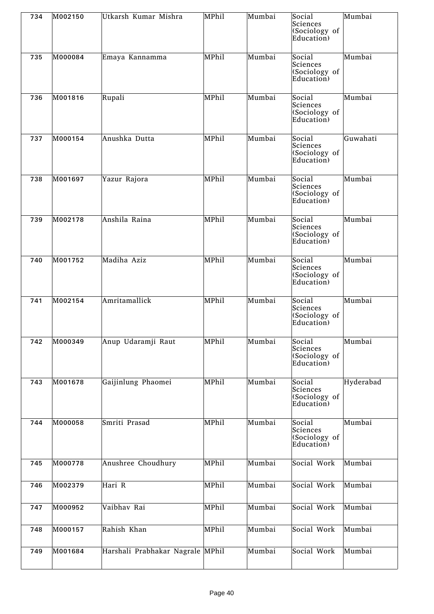| 734 | M002150 | Utkarsh Kumar Mishra             | MPhil | Mumbai | Social<br>Sciences<br>(Sociology of<br>Education) | Mumbai    |
|-----|---------|----------------------------------|-------|--------|---------------------------------------------------|-----------|
| 735 | M000084 | Emaya Kannamma                   | MPhil | Mumbai | Social<br>Sciences<br>(Sociology of<br>Education) | Mumbai    |
| 736 | M001816 | Rupali                           | MPhil | Mumbai | Social<br>Sciences<br>(Sociology of<br>Education) | Mumbai    |
| 737 | M000154 | Anushka Dutta                    | MPhil | Mumbai | Social<br>Sciences<br>(Sociology of<br>Education) | Guwahati  |
| 738 | M001697 | Yazur Rajora                     | MPhil | Mumbai | Social<br>Sciences<br>(Sociology of<br>Education) | Mumbai    |
| 739 | M002178 | Anshila Raina                    | MPhil | Mumbai | Social<br>Sciences<br>(Sociology of<br>Education) | Mumbai    |
| 740 | M001752 | Madiha Aziz                      | MPhil | Mumbai | Social<br>Sciences<br>(Sociology of<br>Education) | Mumbai    |
| 741 | M002154 | Amritamallick                    | MPhil | Mumbai | Social<br>Sciences<br>(Sociology of<br>Education) | Mumbai    |
| 742 | M000349 | Anup Udaramji Raut               | MPhil | Mumbai | Social<br>Sciences<br>(Sociology of<br>Education) | Mumbai    |
| 743 | M001678 | Gaijinlung Phaomei               | MPhil | Mumbai | Social<br>Sciences<br>(Sociology of<br>Education) | Hyderabad |
| 744 | M000058 | Smriti Prasad                    | MPhil | Mumbai | Social<br>Sciences<br>(Sociology of<br>Education) | Mumbai    |
| 745 | M000778 | Anushree Choudhury               | MPhil | Mumbai | Social Work                                       | Mumbai    |
| 746 | M002379 | Hari R                           | MPhil | Mumbai | Social Work                                       | Mumbai    |
| 747 | M000952 | Vaibhav Rai                      | MPhil | Mumbai | Social Work                                       | Mumbai    |
| 748 | M000157 | Rahish Khan                      | MPhil | Mumbai | Social Work                                       | Mumbai    |
| 749 | M001684 | Harshali Prabhakar Nagrale MPhil |       | Mumbai | Social Work                                       | Mumbai    |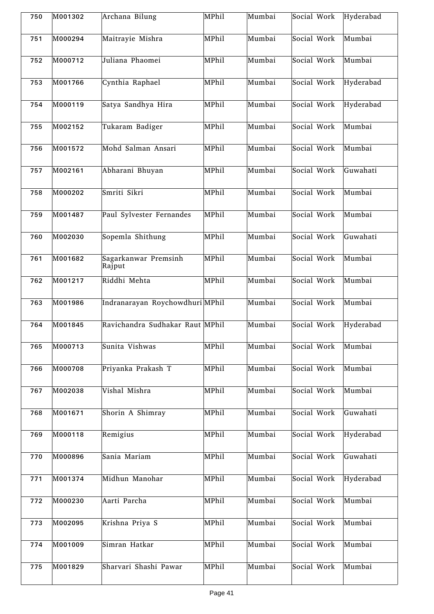| 750 | M001302 | Archana Bilung                  | MPhil | Mumbai | Social Work | Hyderabad |
|-----|---------|---------------------------------|-------|--------|-------------|-----------|
| 751 | M000294 | Maitrayie Mishra                | MPhil | Mumbai | Social Work | Mumbai    |
| 752 | M000712 | Juliana Phaomei                 | MPhil | Mumbai | Social Work | Mumbai    |
| 753 | M001766 | Cynthia Raphael                 | MPhil | Mumbai | Social Work | Hyderabad |
| 754 | M000119 | Satya Sandhya Hira              | MPhil | Mumbai | Social Work | Hyderabad |
| 755 | M002152 | Tukaram Badiger                 | MPhil | Mumbai | Social Work | Mumbai    |
| 756 | M001572 | Mohd Salman Ansari              | MPhil | Mumbai | Social Work | Mumbai    |
| 757 | M002161 | Abharani Bhuyan                 | MPhil | Mumbai | Social Work | Guwahati  |
| 758 | M000202 | Smriti Sikri                    | MPhil | Mumbai | Social Work | Mumbai    |
| 759 | M001487 | Paul Sylvester Fernandes        | MPhil | Mumbai | Social Work | Mumbai    |
| 760 | M002030 | Sopemla Shithung                | MPhil | Mumbai | Social Work | Guwahati  |
| 761 | M001682 | Sagarkanwar Premsinh<br>Rajput  | MPhil | Mumbai | Social Work | Mumbai    |
| 762 | M001217 | Riddhi Mehta                    | MPhil | Mumbai | Social Work | Mumbai    |
| 763 | M001986 | Indranarayan Roychowdhuri MPhil |       | Mumbai | Social Work | Mumbai    |
| 764 | M001845 | Ravichandra Sudhakar Raut MPhil |       | Mumbai | Social Work | Hyderabad |
| 765 | M000713 | Sunita Vishwas                  | MPhil | Mumbai | Social Work | Mumbai    |
| 766 | M000708 | Priyanka Prakash T              | MPhil | Mumbai | Social Work | Mumbai    |
| 767 | M002038 | Vishal Mishra                   | MPhil | Mumbai | Social Work | Mumbai    |
| 768 | M001671 | Shorin A Shimray                | MPhil | Mumbai | Social Work | Guwahati  |
| 769 | M000118 | Remigius                        | MPhil | Mumbai | Social Work | Hyderabad |
| 770 | M000896 | Sania Mariam                    | MPhil | Mumbai | Social Work | Guwahati  |
| 771 | M001374 | Midhun Manohar                  | MPhil | Mumbai | Social Work | Hyderabad |
| 772 | M000230 | Aarti Parcha                    | MPhil | Mumbai | Social Work | Mumbai    |
| 773 | M002095 | Krishna Priya S                 | MPhil | Mumbai | Social Work | Mumbai    |
| 774 | M001009 | Simran Hatkar                   | MPhil | Mumbai | Social Work | Mumbai    |
| 775 | M001829 | Sharvari Shashi Pawar           | MPhil | Mumbai | Social Work | Mumbai    |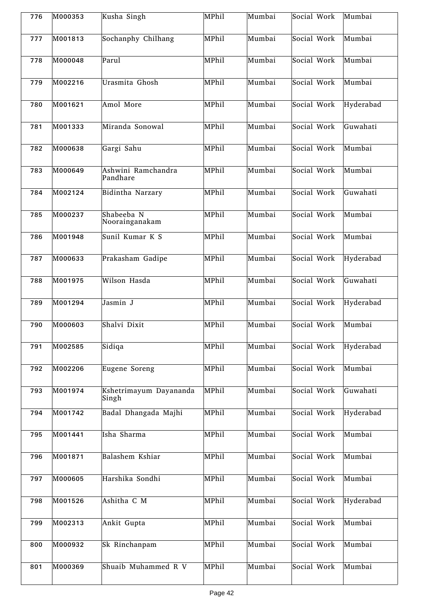| 776 | M000353 | Kusha Singh                     | MPhil | Mumbai | Social Work | Mumbai    |
|-----|---------|---------------------------------|-------|--------|-------------|-----------|
| 777 | M001813 | Sochanphy Chilhang              | MPhil | Mumbai | Social Work | Mumbai    |
| 778 | M000048 | Parul                           | MPhil | Mumbai | Social Work | Mumbai    |
| 779 | M002216 | Urasmita Ghosh                  | MPhil | Mumbai | Social Work | Mumbai    |
| 780 | M001621 | Amol More                       | MPhil | Mumbai | Social Work | Hyderabad |
| 781 | M001333 | Miranda Sonowal                 | MPhil | Mumbai | Social Work | Guwahati  |
| 782 | M000638 | Gargi Sahu                      | MPhil | Mumbai | Social Work | Mumbai    |
| 783 | M000649 | Ashwini Ramchandra<br>Pandhare  | MPhil | Mumbai | Social Work | Mumbai    |
| 784 | M002124 | Bidintha Narzary                | MPhil | Mumbai | Social Work | Guwahati  |
| 785 | M000237 | Shabeeba N<br>Noorainganakam    | MPhil | Mumbai | Social Work | Mumbai    |
| 786 | M001948 | Sunil Kumar K S                 | MPhil | Mumbai | Social Work | Mumbai    |
| 787 | M000633 | Prakasham Gadipe                | MPhil | Mumbai | Social Work | Hyderabad |
| 788 | M001975 | Wilson Hasda                    | MPhil | Mumbai | Social Work | Guwahati  |
| 789 | M001294 | Jasmin J                        | MPhil | Mumbai | Social Work | Hyderabad |
| 790 | M000603 | Shalvi Dixit                    | MPhil | Mumbai | Social Work | Mumbai    |
| 791 | M002585 | Sidiqa                          | MPhil | Mumbai | Social Work | Hyderabad |
| 792 | M002206 | Eugene Soreng                   | MPhil | Mumbai | Social Work | Mumbai    |
| 793 | M001974 | Kshetrimayum Dayananda<br>Singh | MPhil | Mumbai | Social Work | Guwahati  |
| 794 | M001742 | Badal Dhangada Majhi            | MPhil | Mumbai | Social Work | Hyderabad |
| 795 | M001441 | Isha Sharma                     | MPhil | Mumbai | Social Work | Mumbai    |
| 796 | M001871 | Balashem Kshiar                 | MPhil | Mumbai | Social Work | Mumbai    |
| 797 | M000605 | Harshika Sondhi                 | MPhil | Mumbai | Social Work | Mumbai    |
| 798 | M001526 | Ashitha C M                     | MPhil | Mumbai | Social Work | Hyderabad |
| 799 | M002313 | Ankit Gupta                     | MPhil | Mumbai | Social Work | Mumbai    |
| 800 | M000932 | Sk Rinchanpam                   | MPhil | Mumbai | Social Work | Mumbai    |
| 801 | M000369 | Shuaib Muhammed R V             | MPhil | Mumbai | Social Work | Mumbai    |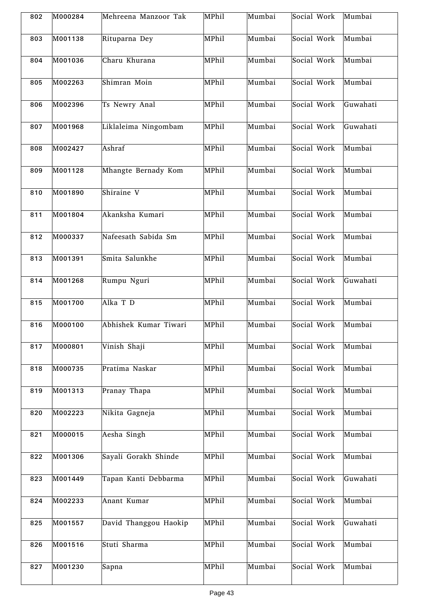| 802 | M000284 | Mehreena Manzoor Tak  | MPhil | Mumbai | Social Work | Mumbai   |
|-----|---------|-----------------------|-------|--------|-------------|----------|
| 803 | M001138 | Rituparna Dey         | MPhil | Mumbai | Social Work | Mumbai   |
| 804 | M001036 | Charu Khurana         | MPhil | Mumbai | Social Work | Mumbai   |
| 805 | M002263 | Shimran Moin          | MPhil | Mumbai | Social Work | Mumbai   |
| 806 | M002396 | Ts Newry Anal         | MPhil | Mumbai | Social Work | Guwahati |
| 807 | M001968 | Liklaleima Ningombam  | MPhil | Mumbai | Social Work | Guwahati |
| 808 | M002427 | Ashraf                | MPhil | Mumbai | Social Work | Mumbai   |
| 809 | M001128 | Mhangte Bernady Kom   | MPhil | Mumbai | Social Work | Mumbai   |
| 810 | M001890 | Shiraine V            | MPhil | Mumbai | Social Work | Mumbai   |
| 811 | M001804 | Akanksha Kumari       | MPhil | Mumbai | Social Work | Mumbai   |
| 812 | M000337 | Nafeesath Sabida Sm   | MPhil | Mumbai | Social Work | Mumbai   |
| 813 | M001391 | Smita Salunkhe        | MPhil | Mumbai | Social Work | Mumbai   |
| 814 | M001268 | Rumpu Nguri           | MPhil | Mumbai | Social Work | Guwahati |
| 815 | M001700 | Alka T D              | MPhil | Mumbai | Social Work | Mumbai   |
| 816 | M000100 | Abhishek Kumar Tiwari | MPhil | Mumbai | Social Work | Mumbai   |
| 817 | M000801 | Vinish Shaji          | MPhil | Mumbai | Social Work | Mumbai   |
| 818 | M000735 | Pratima Naskar        | MPhil | Mumbai | Social Work | Mumbai   |
| 819 | M001313 | Pranay Thapa          | MPhil | Mumbai | Social Work | Mumbai   |
| 820 | M002223 | Nikita Gagneja        | MPhil | Mumbai | Social Work | Mumbai   |
| 821 | M000015 | Aesha Singh           | MPhil | Mumbai | Social Work | Mumbai   |
| 822 | M001306 | Sayali Gorakh Shinde  | MPhil | Mumbai | Social Work | Mumbai   |
| 823 | M001449 | Tapan Kanti Debbarma  | MPhil | Mumbai | Social Work | Guwahati |
| 824 | M002233 | Anant Kumar           | MPhil | Mumbai | Social Work | Mumbai   |
| 825 | M001557 | David Thanggou Haokip | MPhil | Mumbai | Social Work | Guwahati |
| 826 | M001516 | Stuti Sharma          | MPhil | Mumbai | Social Work | Mumbai   |
| 827 | M001230 | Sapna                 | MPhil | Mumbai | Social Work | Mumbai   |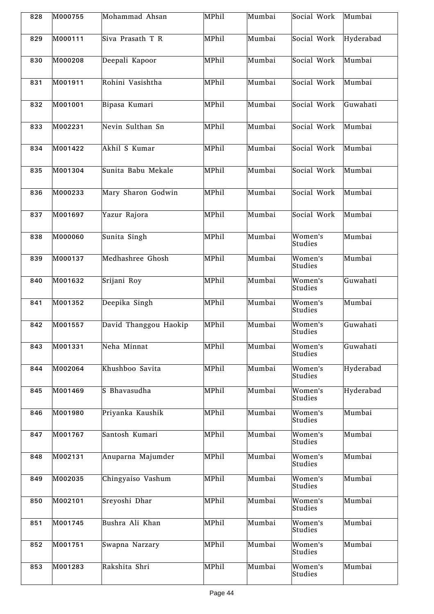| 828 | M000755 | Mohammad Ahsan        | MPhil | Mumbai | Social Work        | Mumbai    |
|-----|---------|-----------------------|-------|--------|--------------------|-----------|
| 829 | M000111 | Siva Prasath T R      | MPhil | Mumbai | Social Work        | Hyderabad |
| 830 | M000208 | Deepali Kapoor        | MPhil | Mumbai | Social Work        | Mumbai    |
| 831 | M001911 | Rohini Vasishtha      | MPhil | Mumbai | Social Work        | Mumbai    |
| 832 | M001001 | Bipasa Kumari         | MPhil | Mumbai | Social Work        | Guwahati  |
| 833 | M002231 | Nevin Sulthan Sn      | MPhil | Mumbai | Social Work        | Mumbai    |
| 834 | M001422 | Akhil S Kumar         | MPhil | Mumbai | Social Work        | Mumbai    |
| 835 | M001304 | Sunita Babu Mekale    | MPhil | Mumbai | Social Work        | Mumbai    |
| 836 | M000233 | Mary Sharon Godwin    | MPhil | Mumbai | Social Work        | Mumbai    |
| 837 | M001697 | Yazur Rajora          | MPhil | Mumbai | Social Work        | Mumbai    |
| 838 | M000060 | Sunita Singh          | MPhil | Mumbai | Women's<br>Studies | Mumbai    |
| 839 | M000137 | Medhashree Ghosh      | MPhil | Mumbai | Women's<br>Studies | Mumbai    |
| 840 | M001632 | Srijani Roy           | MPhil | Mumbai | Women's<br>Studies | Guwahati  |
| 841 | M001352 | Deepika Singh         | MPhil | Mumbai | Women's<br>Studies | Mumbai    |
| 842 | M001557 | David Thanggou Haokip | MPhil | Mumbai | Women's<br>Studies | Guwahati  |
| 843 | M001331 | Neha Minnat           | MPhil | Mumbai | Women's<br>Studies | Guwahati  |
| 844 | M002064 | Khushboo Savita       | MPhil | Mumbai | Women's<br>Studies | Hyderabad |
| 845 | M001469 | S Bhavasudha          | MPhil | Mumbai | Women's<br>Studies | Hyderabad |
| 846 | M001980 | Priyanka Kaushik      | MPhil | Mumbai | Women's<br>Studies | Mumbai    |
| 847 | M001767 | Santosh Kumari        | MPhil | Mumbai | Women's<br>Studies | Mumbai    |
| 848 | M002131 | Anuparna Majumder     | MPhil | Mumbai | Women's<br>Studies | Mumbai    |
| 849 | M002035 | Chingyaiso Vashum     | MPhil | Mumbai | Women's<br>Studies | Mumbai    |
| 850 | M002101 | Sreyoshi Dhar         | MPhil | Mumbai | Women's<br>Studies | Mumbai    |
| 851 | M001745 | Bushra Ali Khan       | MPhil | Mumbai | Women's<br>Studies | Mumbai    |
| 852 | M001751 | Swapna Narzary        | MPhil | Mumbai | Women's<br>Studies | Mumbai    |
| 853 | M001283 | Rakshita Shri         | MPhil | Mumbai | Women's<br>Studies | Mumbai    |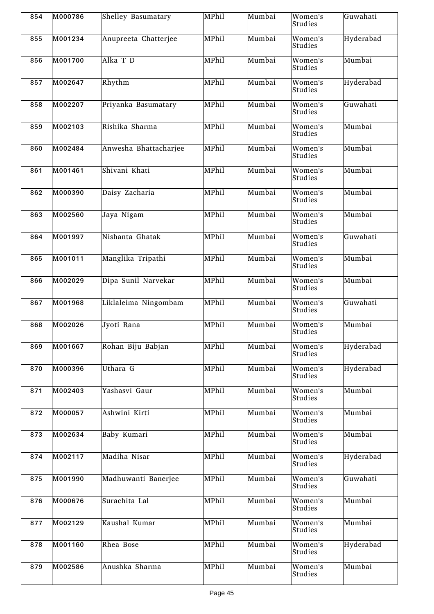| 854 | M000786 | Shelley Basumatary    | MPhil | Mumbai | Women's<br><b>Studies</b>               | Guwahati  |
|-----|---------|-----------------------|-------|--------|-----------------------------------------|-----------|
| 855 | M001234 | Anupreeta Chatterjee  | MPhil | Mumbai | Women's<br>Studies                      | Hyderabad |
| 856 | M001700 | Alka T D              | MPhil | Mumbai | Women's<br>Studies                      | Mumbai    |
| 857 | M002647 | Rhythm                | MPhil | Mumbai | Women's<br>Studies                      | Hyderabad |
| 858 | M002207 | Priyanka Basumatary   | MPhil | Mumbai | Women's<br>Studies                      | Guwahati  |
| 859 | M002103 | Rishika Sharma        | MPhil | Mumbai | Women's<br>Studies                      | Mumbai    |
| 860 | M002484 | Anwesha Bhattacharjee | MPhil | Mumbai | Women's<br>Studies                      | Mumbai    |
| 861 | M001461 | Shivani Khati         | MPhil | Mumbai | $\overline{W}$ omen's<br><b>Studies</b> | Mumbai    |
| 862 | M000390 | Daisy Zacharia        | MPhil | Mumbai | Women's<br>Studies                      | Mumbai    |
| 863 | M002560 | Jaya Nigam            | MPhil | Mumbai | Women's<br><b>Studies</b>               | Mumbai    |
| 864 | M001997 | Nishanta Ghatak       | MPhil | Mumbai | Women's<br>Studies                      | Guwahati  |
| 865 | M001011 | Manglika Tripathi     | MPhil | Mumbai | Women's<br>Studies                      | Mumbai    |
| 866 | M002029 | Dipa Sunil Narvekar   | MPhil | Mumbai | Women's<br>Studies                      | Mumbai    |
| 867 | M001968 | Liklaleima Ningombam  | MPhil | Mumbai | Women's<br>Studies                      | Guwahati  |
| 868 | M002026 | Jyoti Rana            | MPhil | Mumbai | Women's<br><b>Studies</b>               | Mumbai    |
| 869 | M001667 | Rohan Biju Babjan     | MPhil | Mumbai | Women's<br>Studies                      | Hyderabad |
| 870 | M000396 | Uthara G              | MPhil | Mumbai | Women's<br>Studies                      | Hyderabad |
| 871 | M002403 | Yashasvi Gaur         | MPhil | Mumbai | Women's<br>Studies                      | Mumbai    |
| 872 | M000057 | Ashwini Kirti         | MPhil | Mumbai | Women's<br>Studies                      | Mumbai    |
| 873 | M002634 | Baby Kumari           | MPhil | Mumbai | Women's<br>Studies                      | Mumbai    |
| 874 | M002117 | Madiha Nisar          | MPhil | Mumbai | Women's<br>Studies                      | Hyderabad |
| 875 | M001990 | Madhuwanti Banerjee   | MPhil | Mumbai | Women's<br>Studies                      | Guwahati  |
| 876 | M000676 | Surachita Lal         | MPhil | Mumbai | Women's<br>Studies                      | Mumbai    |
| 877 | M002129 | Kaushal Kumar         | MPhil | Mumbai | Women's<br>Studies                      | Mumbai    |
| 878 | M001160 | Rhea Bose             | MPhil | Mumbai | Women's<br>Studies                      | Hyderabad |
| 879 | M002586 | Anushka Sharma        | MPhil | Mumbai | Women's<br>Studies                      | Mumbai    |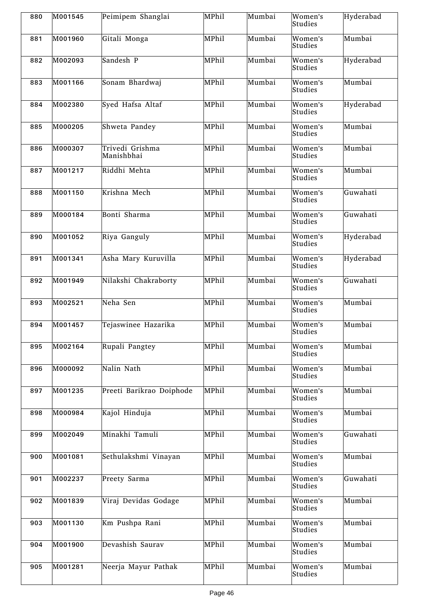| 880 | M001545 | Peimipem Shanglai             | MPhil | Mumbai | Women's<br>Studies                        | Hyderabad |
|-----|---------|-------------------------------|-------|--------|-------------------------------------------|-----------|
| 881 | M001960 | Gitali Monga                  | MPhil | Mumbai | Women's<br>Studies                        | Mumbai    |
| 882 | M002093 | Sandesh P                     | MPhil | Mumbai | Women's<br>Studies                        | Hyderabad |
| 883 | M001166 | Sonam Bhardwaj                | MPhil | Mumbai | Women's<br>Studies                        | Mumbai    |
| 884 | M002380 | Syed Hafsa Altaf              | MPhil | Mumbai | Women's<br>Studies                        | Hyderabad |
| 885 | M000205 | Shweta Pandey                 | MPhil | Mumbai | Women's<br>Studies                        | Mumbai    |
| 886 | M000307 | Trivedi Grishma<br>Manishbhai | MPhil | Mumbai | Women's<br>Studies                        | Mumbai    |
| 887 | M001217 | Riddhi Mehta                  | MPhil | Mumbai | Women's<br>Studies                        | Mumbai    |
| 888 | M001150 | Krishna Mech                  | MPhil | Mumbai | Women's<br>Studies                        | Guwahati  |
| 889 | M000184 | Bonti Sharma                  | MPhil | Mumbai | $\overline{\textrm{W}}$ omen's<br>Studies | Guwahati  |
| 890 | M001052 | Riya Ganguly                  | MPhil | Mumbai | Women's<br>Studies                        | Hyderabad |
| 891 | M001341 | Asha Mary Kuruvilla           | MPhil | Mumbai | Women's<br>Studies                        | Hyderabad |
| 892 | M001949 | Nilakshi Chakraborty          | MPhil | Mumbai | Women's<br>Studies                        | Guwahati  |
| 893 | M002521 | Neha Sen                      | MPhil | Mumbai | $\overline{W}$ omen's<br>Studies          | Mumbai    |
| 894 | M001457 | Tejaswinee Hazarika           | MPhil | Mumbai | Women's<br>Studies                        | Mumbai    |
| 895 | M002164 | Rupali Pangtey                | MPhil | Mumbai | Women's<br>Studies                        | Mumbai    |
| 896 | M000092 | Nalin Nath                    | MPhil | Mumbai | Women's<br>Studies                        | Mumbai    |
| 897 | M001235 | Preeti Barikrao Doiphode      | MPhil | Mumbai | Women's<br>Studies                        | Mumbai    |
| 898 | M000984 | Kajol Hinduja                 | MPhil | Mumbai | Women's<br>Studies                        | Mumbai    |
| 899 | M002049 | Minakhi Tamuli                | MPhil | Mumbai | Women's<br>Studies                        | Guwahati  |
| 900 | M001081 | Sethulakshmi Vinayan          | MPhil | Mumbai | Women's<br>Studies                        | Mumbai    |
| 901 | M002237 | Preety Sarma                  | MPhil | Mumbai | Women's<br>Studies                        | Guwahati  |
| 902 | M001839 | Viraj Devidas Godage          | MPhil | Mumbai | Women's<br>Studies                        | Mumbai    |
| 903 | M001130 | Km Pushpa Rani                | MPhil | Mumbai | Women's<br>Studies                        | Mumbai    |
| 904 | M001900 | Devashish Saurav              | MPhil | Mumbai | Women's<br>Studies                        | Mumbai    |
| 905 | M001281 | Neerja Mayur Pathak           | MPhil | Mumbai | Women's<br>Studies                        | Mumbai    |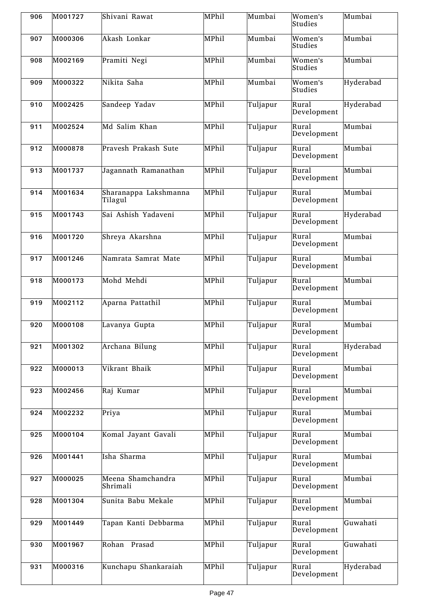| 906 | M001727 | Shivani Rawat                    | MPhil | Mumbai   | Women's<br>Studies   | Mumbai    |
|-----|---------|----------------------------------|-------|----------|----------------------|-----------|
| 907 | M000306 | Akash Lonkar                     | MPhil | Mumbai   | Women's<br>Studies   | Mumbai    |
| 908 | M002169 | Pramiti Negi                     | MPhil | Mumbai   | Women's<br>Studies   | Mumbai    |
| 909 | M000322 | Nikita Saha                      | MPhil | Mumbai   | Women's<br>Studies   | Hyderabad |
| 910 | M002425 | Sandeep Yadav                    | MPhil | Tuljapur | Rural<br>Development | Hyderabad |
| 911 | M002524 | Md Salim Khan                    | MPhil | Tuljapur | Rural<br>Development | Mumbai    |
| 912 | M000878 | Pravesh Prakash Sute             | MPhil | Tuljapur | Rural<br>Development | Mumbai    |
| 913 | M001737 | Jagannath Ramanathan             | MPhil | Tuljapur | Rural<br>Development | Mumbai    |
| 914 | M001634 | Sharanappa Lakshmanna<br>Tilagul | MPhil | Tuljapur | Rural<br>Development | Mumbai    |
| 915 | M001743 | Sai Ashish Yadaveni              | MPhil | Tuljapur | Rural<br>Development | Hyderabad |
| 916 | M001720 | Shreya Akarshna                  | MPhil | Tuljapur | Rural<br>Development | Mumbai    |
| 917 | M001246 | Namrata Samrat Mate              | MPhil | Tuljapur | Rural<br>Development | Mumbai    |
| 918 | M000173 | Mohd Mehdi                       | MPhil | Tuljapur | Rural<br>Development | Mumbai    |
| 919 | M002112 | Aparna Pattathil                 | MPhil | Tuljapur | Rural<br>Development | Mumbai    |
| 920 | M000108 | Lavanya Gupta                    | MPhil | Tuljapur | Rural<br>Development | Mumbai    |
| 921 | M001302 | Archana Bilung                   | MPhil | Tuljapur | Rural<br>Development | Hyderabad |
| 922 | M000013 | Vikrant Bhaik                    | MPhil | Tuljapur | Rural<br>Development | Mumbai    |
| 923 | M002456 | Raj Kumar                        | MPhil | Tuljapur | Rural<br>Development | Mumbai    |
| 924 | M002232 | Priya                            | MPhil | Tuljapur | Rural<br>Development | Mumbai    |
| 925 | M000104 | Komal Jayant Gavali              | MPhil | Tuljapur | Rural<br>Development | Mumbai    |
| 926 | M001441 | Isha Sharma                      | MPhil | Tuljapur | Rural<br>Development | Mumbai    |
| 927 | M000025 | Meena Shamchandra<br>Shrimali    | MPhil | Tuljapur | Rural<br>Development | Mumbai    |
| 928 | M001304 | Sunita Babu Mekale               | MPhil | Tuljapur | Rural<br>Development | Mumbai    |
| 929 | M001449 | Tapan Kanti Debbarma             | MPhil | Tuljapur | Rural<br>Development | Guwahati  |
| 930 | M001967 | Rohan Prasad                     | MPhil | Tuljapur | Rural<br>Development | Guwahati  |
| 931 | M000316 | Kunchapu Shankaraiah             | MPhil | Tuljapur | Rural<br>Development | Hyderabad |